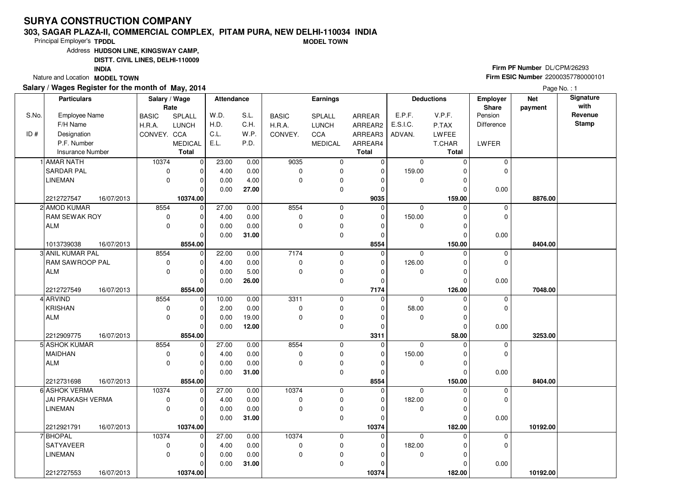#### **303, SAGAR PLAZA-II, COMMERCIAL COMPLEX, PITAM PURA, NEW DELHI-110034 INDIAMODEL TOWN**

Principal Employer's**TPDDL**

Address**HUDSON LINE, KINGSWAY CAMP,**

**DISTT. CIVIL LINES, DELHI-110009**

**INDIA**

Nature and Location **MODEL TOWN** 

### **Salary / Wages Register for the month of May, 2014**

**Firm PF Number** DL/CPM/26293 **Firm ESIC Number** <sup>22000357780000101</sup>

|       | <b>Particulars</b>                 |            | Salary / Wage<br>Rate |                | Attendance   |              |                       | <b>Earnings</b> |               |             | <b>Deductions</b> | Employer<br>Share | <b>Net</b><br>payment | Signature<br>with |
|-------|------------------------------------|------------|-----------------------|----------------|--------------|--------------|-----------------------|-----------------|---------------|-------------|-------------------|-------------------|-----------------------|-------------------|
| S.No. | <b>Employee Name</b>               |            | <b>BASIC</b>          | SPLALL         | W.D.         | S.L.         | <b>BASIC</b>          | SPLALL          | ARREAR        | E.P.F.      | V.P.F.            | Pension           |                       | Revenue           |
|       | F/H Name                           |            | H.R.A.                | <b>LUNCH</b>   | H.D.         | C.H.         | H.R.A.                | <b>LUNCH</b>    | ARREAR2       | E.S.I.C.    | P.TAX             | <b>Difference</b> |                       | <b>Stamp</b>      |
| ID#   | Designation                        |            | CONVEY. CCA           |                | C.L.         | W.P.         | CONVEY.               | CCA             | ARREAR3       | ADVAN.      | <b>LWFEE</b>      |                   |                       |                   |
|       | P.F. Number                        |            |                       | <b>MEDICAL</b> | E.L.         | P.D.         |                       | <b>MEDICAL</b>  | ARREAR4       |             | T.CHAR            | LWFER             |                       |                   |
|       | Insurance Number                   |            |                       | <b>Total</b>   |              |              |                       |                 | <b>Total</b>  |             | <b>Total</b>      |                   |                       |                   |
|       | AMAR NATH                          |            | 10374                 | -o l           | 23.00        | 0.00         | 9035                  | 0               | 0             | $\mathbf 0$ | $\Omega$          | $\mathbf 0$       |                       |                   |
|       | <b>SARDAR PAL</b>                  |            | 0                     |                | 4.00         | 0.00         | $\mathbf 0$           | $\mathbf 0$     | $\mathbf 0$   | 159.00      |                   | $\Omega$          |                       |                   |
|       | <b>LINEMAN</b>                     |            | $\mathbf 0$           | $\Omega$       | 0.00         | 4.00         | $\Omega$              | $\pmb{0}$       | $\Omega$      | $\mathbf 0$ |                   |                   |                       |                   |
|       |                                    |            |                       | $\Omega$       | 0.00         | 27.00        |                       | $\mathbf 0$     | $\Omega$      |             | 0                 | 0.00              |                       |                   |
|       | 2212727547                         | 16/07/2013 |                       | 10374.00       |              |              |                       |                 | 9035          |             | 159.00            |                   | 8876.00               |                   |
|       | 2 AMOD KUMAR                       |            | 8554                  | $\mathbf 0$    | 27.00        | 0.00         | 8554                  | 0               | 0             | $\mathbf 0$ | $\Omega$          | 0                 |                       |                   |
|       | <b>RAM SEWAK ROY</b>               |            | 0                     | $\Omega$       | 4.00         | 0.00         | $\mathbf 0$           | $\mathbf 0$     | 0             | 150.00      | O                 | $\Omega$          |                       |                   |
|       | ALM                                |            | $\mathbf 0$           | $\Omega$       | 0.00         | 0.00         | $\mathbf 0$           | $\pmb{0}$       | $\Omega$      | 0           |                   |                   |                       |                   |
|       |                                    |            |                       | $\Omega$       | 0.00         | 31.00        |                       | $\mathbf 0$     | $\Omega$      |             | $\Omega$          | 0.00              |                       |                   |
|       | 1013739038                         | 16/07/2013 |                       | 8554.00        |              |              |                       |                 | 8554          |             | 150.00            |                   | 8404.00               |                   |
|       | 3 ANIL KUMAR PAL                   |            | 8554                  | $\mathbf 0$    | 22.00        | 0.00         | 7174                  | 0               | 0             | $\mathbf 0$ | $\Omega$          | 0                 |                       |                   |
|       | RAM SAWROOP PAL                    |            | $\pmb{0}$             |                | 4.00         | 0.00         | 0                     | 0               | $\Omega$      | 126.00      |                   | $\mathbf 0$       |                       |                   |
|       | <b>ALM</b>                         |            | $\mathbf 0$           | 0              | 0.00         | 5.00         | $\mathbf 0$           | $\pmb{0}$       | $\mathbf 0$   | 0           | 0                 |                   |                       |                   |
|       |                                    |            |                       | $\Omega$       | 0.00         | 26.00        |                       | $\mathbf 0$     | $\mathbf 0$   |             |                   | 0.00              |                       |                   |
|       | 2212727549                         | 16/07/2013 |                       | 8554.00        |              |              |                       |                 | 7174          |             | 126.00            |                   | 7048.00               |                   |
|       | 4 ARVIND                           |            | 8554                  | $\mathbf 0$    | 10.00        | 0.00         | 3311                  | 0               | $\mathbf 0$   | $\mathbf 0$ | $\Omega$          | 0                 |                       |                   |
|       | <b>KRISHAN</b>                     |            | $\mathbf 0$           | $\Omega$       | 2.00         | 0.00         | $\mathbf 0$           | 0               | $\Omega$      | 58.00       | O                 | $\mathbf 0$       |                       |                   |
|       | <b>ALM</b>                         |            | $\mathbf 0$           | O              | 0.00         | 19.00        | $\mathbf 0$           | $\pmb{0}$       | $\Omega$      | 0           | O                 |                   |                       |                   |
|       |                                    |            |                       | $\Omega$       | 0.00         | 12.00        |                       | $\mathbf 0$     | $\mathbf 0$   |             | $\Omega$          | 0.00              |                       |                   |
|       | 2212909775                         | 16/07/2013 |                       | 8554.00        |              |              |                       |                 | 3311          |             | 58.00             |                   | 3253.00               |                   |
|       | 5 ASHOK KUMAR                      |            | 8554                  | $\Omega$       | 27.00        | 0.00         | 8554                  | 0               | 0             | $\Omega$    |                   | 0                 |                       |                   |
|       | <b>MAIDHAN</b>                     |            | $\mathbf 0$           |                | 4.00         | 0.00         | $\mathbf 0$           | 0               | $\Omega$      | 150.00      |                   | $\mathbf 0$       |                       |                   |
|       | <b>ALM</b>                         |            | $\Omega$              | O              | 0.00         | 0.00         | $\Omega$              | $\pmb{0}$       | $\Omega$      | $\mathbf 0$ | O                 |                   |                       |                   |
|       |                                    |            |                       | $\Omega$       | 0.00         | 31.00        |                       | 0               | $\mathbf 0$   |             | $\Omega$          | 0.00              |                       |                   |
|       | 2212731698                         | 16/07/2013 |                       | 8554.00        |              |              | 10374                 |                 | 8554          |             | 150.00<br>U       |                   | 8404.00               |                   |
|       | 6 ASHOK VERMA<br>JAI PRAKASH VERMA |            | 10374                 | $\Omega$       | 27.00        | 0.00         |                       | 0               | 0<br>$\Omega$ | $\mathbf 0$ | O                 | 0<br>0            |                       |                   |
|       | <b>LINEMAN</b>                     |            | 0<br>$\Omega$         | $\Omega$<br>O  | 4.00<br>0.00 | 0.00<br>0.00 | $\pmb{0}$<br>$\Omega$ | 0               | $\Omega$      | 182.00      |                   |                   |                       |                   |
|       |                                    |            |                       | $\Omega$       |              | 31.00        |                       | 0<br>0          | $\Omega$      | 0           | O                 |                   |                       |                   |
|       | 2212921791                         | 16/07/2013 |                       | 10374.00       | 0.00         |              |                       |                 | 10374         |             | 182.00            | 0.00              | 10192.00              |                   |
|       | <b>BHOPAL</b>                      |            | 10374                 | $\Omega$       | 27.00        | 0.00         | 10374                 | 0               | 0             | $\mathbf 0$ |                   |                   |                       |                   |
|       | SATYAVEER                          |            | 0                     |                | 4.00         | 0.00         | $\mathbf 0$           | $\pmb{0}$       | $\mathbf 0$   | 182.00      |                   | 0<br>0            |                       |                   |
|       | <b>LINEMAN</b>                     |            | $\mathbf 0$           | 0              | 0.00         | 0.00         | $\mathbf 0$           | 0               | $\Omega$      | $\mathbf 0$ |                   |                   |                       |                   |
|       |                                    |            |                       | 0              | 0.00         | 31.00        |                       | 0               | $\Omega$      |             |                   | 0.00              |                       |                   |
|       | 2212727553                         | 16/07/2013 |                       | 10374.00       |              |              |                       |                 | 10374         |             | 182.00            |                   | 10192.00              |                   |
|       |                                    |            |                       |                |              |              |                       |                 |               |             |                   |                   |                       |                   |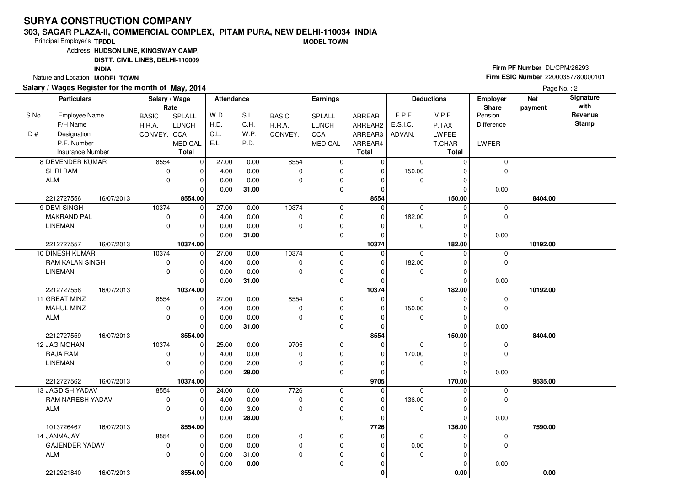#### **303, SAGAR PLAZA-II, COMMERCIAL COMPLEX, PITAM PURA, NEW DELHI-110034 INDIAMODEL TOWN**

Principal Employer's**TPDDL**

Address**HUDSON LINE, KINGSWAY CAMP,**

**DISTT. CIVIL LINES, DELHI-110009**

**INDIA**

Nature and Location **MODEL TOWN** 

### **Salary / Wages Register for the month of May, 2014**

**Firm PF Number** DL/CPM/26293 **Firm ESIC Number** <sup>22000357780000101</sup>

| Employee Name<br>F/H Name<br>Designation<br>P.F. Number<br><b>Insurance Number</b><br>8 DEVENDER KUMAR<br><b>SHRI RAM</b><br>ALM<br>2212727556<br>16/07/2013<br>9 DEVI SINGH<br><b>MAKRAND PAL</b><br><b>LINEMAN</b><br>2212727557<br>16/07/2013<br>10 DINESH KUMAR<br>RAM KALAN SINGH<br><b>LINEMAN</b><br>2212727558<br>16/07/2013<br>11 GREAT MINZ | <b>BASIC</b><br>H.R.A.<br>CONVEY. CCA<br>8554<br>$\mathbf 0$<br>$\mathbf 0$<br>10374<br>$\pmb{0}$<br>$\mathbf 0$<br>10374<br>0<br>0                                                                                                 | SPLALL<br><b>LUNCH</b><br><b>MEDICAL</b><br><b>Total</b><br>$\mathbf 0$<br>$\mathbf 0$<br>$\Omega$<br>8554.00<br>$\mathbf 0$<br>$\Omega$<br>O<br>10374.00<br>$\mathbf 0$<br>$\Omega$<br>$\Omega$<br>10374.00 | W.D.<br>H.D.<br>C.L.<br>E.L.<br>27.00<br>4.00<br>0.00<br>0.00<br>27.00<br>4.00<br>0.00<br>0.00<br>27.00<br>4.00<br>0.00<br>0.00                     | S.L.<br>C.H.<br>W.P.<br>P.D.<br>0.00<br>0.00<br>0.00<br>31.00<br>0.00<br>0.00<br>0.00<br>31.00<br>0.00<br>0.00<br>0.00<br>31.00 | <b>BASIC</b><br>H.R.A.<br>CONVEY.<br>8554<br>$\mathbf 0$<br>$\Omega$<br>10374<br>$\mathbf 0$<br>$\mathbf 0$<br>10374<br>$\mathbf 0$<br>$\Omega$ | SPLALL<br><b>LUNCH</b><br>CCA<br><b>MEDICAL</b><br>$\pmb{0}$<br>0<br>0<br>0<br>0<br>0<br>0<br>0<br>0<br>0<br>0<br>0 | ARREAR<br>ARREAR2<br>ARREAR3<br>ARREAR4<br><b>Total</b><br>$\overline{0}$<br>0<br>0<br>0<br>8554<br>0<br>$\mathbf 0$<br>0<br>0<br>10374<br>$\mathbf 0$<br>0<br>$\Omega$ | E.P.F.<br>E.S.I.C.<br>ADVAN.<br>$\mathbf 0$<br>150.00<br>0<br>$\mathbf 0$<br>182.00<br>0<br>$\Omega$<br>182.00<br>0        | V.P.F.<br>P.TAX<br>LWFEE<br>T.CHAR<br><b>Total</b><br>$\Omega$<br>O<br>U<br>150.00<br>$\Omega$<br>O<br>ŋ<br>O<br>182.00<br>$\Omega$<br>O<br>O | Pension<br>Difference<br>LWFER<br>0<br>$\Omega$<br>0.00<br>0<br>$\Omega$<br>0.00<br>$\mathbf 0$<br>$\Omega$ | 8404.00<br>10192.00                                    | Revenue<br><b>Stamp</b>       |
|-------------------------------------------------------------------------------------------------------------------------------------------------------------------------------------------------------------------------------------------------------------------------------------------------------------------------------------------------------|-------------------------------------------------------------------------------------------------------------------------------------------------------------------------------------------------------------------------------------|--------------------------------------------------------------------------------------------------------------------------------------------------------------------------------------------------------------|-----------------------------------------------------------------------------------------------------------------------------------------------------|---------------------------------------------------------------------------------------------------------------------------------|-------------------------------------------------------------------------------------------------------------------------------------------------|---------------------------------------------------------------------------------------------------------------------|-------------------------------------------------------------------------------------------------------------------------------------------------------------------------|----------------------------------------------------------------------------------------------------------------------------|-----------------------------------------------------------------------------------------------------------------------------------------------|-------------------------------------------------------------------------------------------------------------|--------------------------------------------------------|-------------------------------|
|                                                                                                                                                                                                                                                                                                                                                       |                                                                                                                                                                                                                                     |                                                                                                                                                                                                              |                                                                                                                                                     |                                                                                                                                 |                                                                                                                                                 |                                                                                                                     |                                                                                                                                                                         |                                                                                                                            |                                                                                                                                               |                                                                                                             |                                                        |                               |
|                                                                                                                                                                                                                                                                                                                                                       |                                                                                                                                                                                                                                     |                                                                                                                                                                                                              |                                                                                                                                                     |                                                                                                                                 |                                                                                                                                                 |                                                                                                                     |                                                                                                                                                                         |                                                                                                                            |                                                                                                                                               |                                                                                                             |                                                        |                               |
|                                                                                                                                                                                                                                                                                                                                                       |                                                                                                                                                                                                                                     |                                                                                                                                                                                                              |                                                                                                                                                     |                                                                                                                                 |                                                                                                                                                 |                                                                                                                     |                                                                                                                                                                         |                                                                                                                            |                                                                                                                                               |                                                                                                             |                                                        |                               |
|                                                                                                                                                                                                                                                                                                                                                       |                                                                                                                                                                                                                                     |                                                                                                                                                                                                              |                                                                                                                                                     |                                                                                                                                 |                                                                                                                                                 |                                                                                                                     |                                                                                                                                                                         |                                                                                                                            |                                                                                                                                               |                                                                                                             |                                                        |                               |
|                                                                                                                                                                                                                                                                                                                                                       |                                                                                                                                                                                                                                     |                                                                                                                                                                                                              |                                                                                                                                                     |                                                                                                                                 |                                                                                                                                                 |                                                                                                                     |                                                                                                                                                                         |                                                                                                                            |                                                                                                                                               |                                                                                                             |                                                        |                               |
|                                                                                                                                                                                                                                                                                                                                                       |                                                                                                                                                                                                                                     |                                                                                                                                                                                                              |                                                                                                                                                     |                                                                                                                                 |                                                                                                                                                 |                                                                                                                     |                                                                                                                                                                         |                                                                                                                            |                                                                                                                                               |                                                                                                             |                                                        |                               |
|                                                                                                                                                                                                                                                                                                                                                       |                                                                                                                                                                                                                                     |                                                                                                                                                                                                              |                                                                                                                                                     |                                                                                                                                 |                                                                                                                                                 |                                                                                                                     |                                                                                                                                                                         |                                                                                                                            |                                                                                                                                               |                                                                                                             |                                                        |                               |
|                                                                                                                                                                                                                                                                                                                                                       |                                                                                                                                                                                                                                     |                                                                                                                                                                                                              |                                                                                                                                                     |                                                                                                                                 |                                                                                                                                                 |                                                                                                                     |                                                                                                                                                                         |                                                                                                                            |                                                                                                                                               |                                                                                                             |                                                        |                               |
|                                                                                                                                                                                                                                                                                                                                                       |                                                                                                                                                                                                                                     |                                                                                                                                                                                                              |                                                                                                                                                     |                                                                                                                                 |                                                                                                                                                 |                                                                                                                     |                                                                                                                                                                         |                                                                                                                            |                                                                                                                                               |                                                                                                             |                                                        |                               |
|                                                                                                                                                                                                                                                                                                                                                       |                                                                                                                                                                                                                                     |                                                                                                                                                                                                              |                                                                                                                                                     |                                                                                                                                 |                                                                                                                                                 |                                                                                                                     |                                                                                                                                                                         |                                                                                                                            |                                                                                                                                               |                                                                                                             |                                                        |                               |
|                                                                                                                                                                                                                                                                                                                                                       |                                                                                                                                                                                                                                     |                                                                                                                                                                                                              |                                                                                                                                                     |                                                                                                                                 |                                                                                                                                                 |                                                                                                                     |                                                                                                                                                                         |                                                                                                                            |                                                                                                                                               |                                                                                                             |                                                        |                               |
|                                                                                                                                                                                                                                                                                                                                                       |                                                                                                                                                                                                                                     |                                                                                                                                                                                                              |                                                                                                                                                     |                                                                                                                                 |                                                                                                                                                 |                                                                                                                     |                                                                                                                                                                         |                                                                                                                            |                                                                                                                                               |                                                                                                             |                                                        |                               |
|                                                                                                                                                                                                                                                                                                                                                       |                                                                                                                                                                                                                                     |                                                                                                                                                                                                              |                                                                                                                                                     |                                                                                                                                 |                                                                                                                                                 |                                                                                                                     |                                                                                                                                                                         |                                                                                                                            |                                                                                                                                               |                                                                                                             |                                                        |                               |
|                                                                                                                                                                                                                                                                                                                                                       |                                                                                                                                                                                                                                     |                                                                                                                                                                                                              |                                                                                                                                                     |                                                                                                                                 |                                                                                                                                                 |                                                                                                                     |                                                                                                                                                                         |                                                                                                                            |                                                                                                                                               |                                                                                                             |                                                        |                               |
|                                                                                                                                                                                                                                                                                                                                                       |                                                                                                                                                                                                                                     |                                                                                                                                                                                                              |                                                                                                                                                     |                                                                                                                                 |                                                                                                                                                 |                                                                                                                     |                                                                                                                                                                         |                                                                                                                            |                                                                                                                                               |                                                                                                             |                                                        |                               |
|                                                                                                                                                                                                                                                                                                                                                       |                                                                                                                                                                                                                                     |                                                                                                                                                                                                              |                                                                                                                                                     |                                                                                                                                 |                                                                                                                                                 |                                                                                                                     |                                                                                                                                                                         |                                                                                                                            |                                                                                                                                               |                                                                                                             |                                                        |                               |
|                                                                                                                                                                                                                                                                                                                                                       |                                                                                                                                                                                                                                     |                                                                                                                                                                                                              |                                                                                                                                                     |                                                                                                                                 |                                                                                                                                                 |                                                                                                                     |                                                                                                                                                                         |                                                                                                                            |                                                                                                                                               |                                                                                                             |                                                        |                               |
|                                                                                                                                                                                                                                                                                                                                                       |                                                                                                                                                                                                                                     |                                                                                                                                                                                                              |                                                                                                                                                     |                                                                                                                                 |                                                                                                                                                 |                                                                                                                     |                                                                                                                                                                         |                                                                                                                            |                                                                                                                                               |                                                                                                             |                                                        |                               |
|                                                                                                                                                                                                                                                                                                                                                       |                                                                                                                                                                                                                                     |                                                                                                                                                                                                              |                                                                                                                                                     |                                                                                                                                 |                                                                                                                                                 |                                                                                                                     | $\mathbf 0$                                                                                                                                                             |                                                                                                                            | 0                                                                                                                                             | 0.00                                                                                                        |                                                        |                               |
|                                                                                                                                                                                                                                                                                                                                                       |                                                                                                                                                                                                                                     |                                                                                                                                                                                                              |                                                                                                                                                     |                                                                                                                                 |                                                                                                                                                 |                                                                                                                     | 10374                                                                                                                                                                   |                                                                                                                            | 182.00                                                                                                                                        |                                                                                                             | 10192.00                                               |                               |
|                                                                                                                                                                                                                                                                                                                                                       | 8554                                                                                                                                                                                                                                | $\overline{0}$                                                                                                                                                                                               | 27.00                                                                                                                                               | 0.00                                                                                                                            | 8554                                                                                                                                            | $\mathbf 0$                                                                                                         | 0                                                                                                                                                                       | $\mathbf 0$                                                                                                                | $\Omega$                                                                                                                                      | $\mathbf 0$                                                                                                 |                                                        |                               |
| MAHUL MINZ                                                                                                                                                                                                                                                                                                                                            | $\mathbf 0$                                                                                                                                                                                                                         | $\Omega$                                                                                                                                                                                                     | 4.00                                                                                                                                                | 0.00                                                                                                                            | $\mathbf 0$                                                                                                                                     | 0                                                                                                                   | 0                                                                                                                                                                       | 150.00                                                                                                                     | O                                                                                                                                             | $\Omega$                                                                                                    |                                                        |                               |
| ALM                                                                                                                                                                                                                                                                                                                                                   | $\pmb{0}$                                                                                                                                                                                                                           | $\Omega$                                                                                                                                                                                                     | 0.00                                                                                                                                                | 0.00                                                                                                                            | $\mathbf 0$                                                                                                                                     | 0                                                                                                                   | 0                                                                                                                                                                       | 0                                                                                                                          | 0                                                                                                                                             |                                                                                                             |                                                        |                               |
|                                                                                                                                                                                                                                                                                                                                                       |                                                                                                                                                                                                                                     | $\Omega$                                                                                                                                                                                                     | 0.00                                                                                                                                                | 31.00                                                                                                                           |                                                                                                                                                 | 0                                                                                                                   | $\mathbf 0$                                                                                                                                                             |                                                                                                                            | $\Omega$                                                                                                                                      | 0.00                                                                                                        |                                                        |                               |
|                                                                                                                                                                                                                                                                                                                                                       |                                                                                                                                                                                                                                     |                                                                                                                                                                                                              |                                                                                                                                                     |                                                                                                                                 |                                                                                                                                                 |                                                                                                                     |                                                                                                                                                                         |                                                                                                                            |                                                                                                                                               |                                                                                                             |                                                        |                               |
|                                                                                                                                                                                                                                                                                                                                                       |                                                                                                                                                                                                                                     |                                                                                                                                                                                                              |                                                                                                                                                     |                                                                                                                                 |                                                                                                                                                 |                                                                                                                     |                                                                                                                                                                         |                                                                                                                            |                                                                                                                                               |                                                                                                             |                                                        |                               |
|                                                                                                                                                                                                                                                                                                                                                       |                                                                                                                                                                                                                                     |                                                                                                                                                                                                              |                                                                                                                                                     |                                                                                                                                 |                                                                                                                                                 |                                                                                                                     |                                                                                                                                                                         |                                                                                                                            |                                                                                                                                               |                                                                                                             |                                                        |                               |
|                                                                                                                                                                                                                                                                                                                                                       |                                                                                                                                                                                                                                     |                                                                                                                                                                                                              |                                                                                                                                                     |                                                                                                                                 |                                                                                                                                                 |                                                                                                                     |                                                                                                                                                                         |                                                                                                                            |                                                                                                                                               |                                                                                                             |                                                        |                               |
|                                                                                                                                                                                                                                                                                                                                                       |                                                                                                                                                                                                                                     |                                                                                                                                                                                                              |                                                                                                                                                     |                                                                                                                                 |                                                                                                                                                 |                                                                                                                     |                                                                                                                                                                         |                                                                                                                            |                                                                                                                                               |                                                                                                             |                                                        |                               |
|                                                                                                                                                                                                                                                                                                                                                       |                                                                                                                                                                                                                                     |                                                                                                                                                                                                              |                                                                                                                                                     |                                                                                                                                 |                                                                                                                                                 |                                                                                                                     |                                                                                                                                                                         |                                                                                                                            |                                                                                                                                               |                                                                                                             |                                                        |                               |
|                                                                                                                                                                                                                                                                                                                                                       |                                                                                                                                                                                                                                     |                                                                                                                                                                                                              |                                                                                                                                                     |                                                                                                                                 |                                                                                                                                                 |                                                                                                                     |                                                                                                                                                                         |                                                                                                                            |                                                                                                                                               |                                                                                                             |                                                        |                               |
|                                                                                                                                                                                                                                                                                                                                                       |                                                                                                                                                                                                                                     |                                                                                                                                                                                                              |                                                                                                                                                     |                                                                                                                                 |                                                                                                                                                 |                                                                                                                     |                                                                                                                                                                         |                                                                                                                            |                                                                                                                                               |                                                                                                             |                                                        |                               |
|                                                                                                                                                                                                                                                                                                                                                       |                                                                                                                                                                                                                                     |                                                                                                                                                                                                              |                                                                                                                                                     |                                                                                                                                 |                                                                                                                                                 |                                                                                                                     |                                                                                                                                                                         |                                                                                                                            |                                                                                                                                               |                                                                                                             |                                                        |                               |
|                                                                                                                                                                                                                                                                                                                                                       |                                                                                                                                                                                                                                     |                                                                                                                                                                                                              |                                                                                                                                                     |                                                                                                                                 |                                                                                                                                                 |                                                                                                                     |                                                                                                                                                                         |                                                                                                                            |                                                                                                                                               |                                                                                                             |                                                        |                               |
|                                                                                                                                                                                                                                                                                                                                                       |                                                                                                                                                                                                                                     |                                                                                                                                                                                                              |                                                                                                                                                     |                                                                                                                                 |                                                                                                                                                 |                                                                                                                     |                                                                                                                                                                         |                                                                                                                            | $\Omega$                                                                                                                                      |                                                                                                             |                                                        |                               |
|                                                                                                                                                                                                                                                                                                                                                       |                                                                                                                                                                                                                                     | 0                                                                                                                                                                                                            |                                                                                                                                                     |                                                                                                                                 |                                                                                                                                                 |                                                                                                                     | 0                                                                                                                                                                       |                                                                                                                            | 0                                                                                                                                             | $\mathbf 0$                                                                                                 |                                                        |                               |
|                                                                                                                                                                                                                                                                                                                                                       | $\mathbf 0$                                                                                                                                                                                                                         | $\Omega$                                                                                                                                                                                                     |                                                                                                                                                     |                                                                                                                                 | $\Omega$                                                                                                                                        |                                                                                                                     | $\Omega$                                                                                                                                                                | $\mathbf 0$                                                                                                                | O                                                                                                                                             |                                                                                                             |                                                        |                               |
|                                                                                                                                                                                                                                                                                                                                                       |                                                                                                                                                                                                                                     |                                                                                                                                                                                                              |                                                                                                                                                     |                                                                                                                                 |                                                                                                                                                 |                                                                                                                     |                                                                                                                                                                         |                                                                                                                            |                                                                                                                                               | 0.00                                                                                                        |                                                        |                               |
|                                                                                                                                                                                                                                                                                                                                                       |                                                                                                                                                                                                                                     |                                                                                                                                                                                                              | 0.00                                                                                                                                                | 0.00                                                                                                                            |                                                                                                                                                 | 0                                                                                                                   | $\Omega$                                                                                                                                                                |                                                                                                                            |                                                                                                                                               |                                                                                                             |                                                        |                               |
|                                                                                                                                                                                                                                                                                                                                                       | 2212727559<br>16/07/2013<br>12 JAG MOHAN<br><b>RAJA RAM</b><br><b>LINEMAN</b><br>2212727562<br>16/07/2013<br>13 JAGDISH YADAV<br><b>RAM NARESH YADAV</b><br>ALM<br>16/07/2013<br>1013726467<br>14 JANMAJAY<br><b>GAJENDER YADAV</b> | 10374<br>0<br>$\pmb{0}$<br>8554<br>$\pmb{0}$<br>$\pmb{0}$<br>8554<br>$\pmb{0}$                                                                                                                               | 8554.00<br>$\mathbf 0$<br>$\Omega$<br>$\Omega$<br>$\Omega$<br>10374.00<br>$\mathbf 0$<br>0<br>$\Omega$<br>$\Omega$<br>8554.00<br>$\mathbf 0$<br>ALM | 25.00<br>4.00<br>0.00<br>0.00<br>24.00<br>4.00<br>0.00<br>0.00<br>0.00<br>0.00<br>0.00                                          | 0.00<br>0.00<br>2.00<br>29.00<br>0.00<br>0.00<br>3.00<br>28.00<br>0.00<br>0.00<br>31.00                                                         | 9705<br>$\mathbf 0$<br>$\mathbf 0$<br>7726<br>$\mathbf 0$<br>$\mathbf 0$<br>$\mathbf 0$<br>$\mathbf 0$              | 0<br>0<br>$\pmb{0}$<br>0<br>0<br>0<br>0<br>0<br>0<br>0<br>$\pmb{0}$                                                                                                     | 8554<br>$\mathbf 0$<br>0<br>0<br>$\mathbf 0$<br>9705<br>$\mathbf 0$<br>0<br>$\Omega$<br>$\mathbf 0$<br>7726<br>$\mathbf 0$ | $\Omega$<br>170.00<br>0<br>0<br>136.00<br>0<br>$\Omega$<br>0.00                                                                               | 150.00<br>ŋ<br>O<br>0<br>$\Omega$<br>170.00<br>$\Omega$<br>O<br>0<br>$\Omega$<br>136.00                     | 0<br>$\Omega$<br>0.00<br>0<br>$\mathbf 0$<br>0.00<br>0 | 8404.00<br>9535.00<br>7590.00 |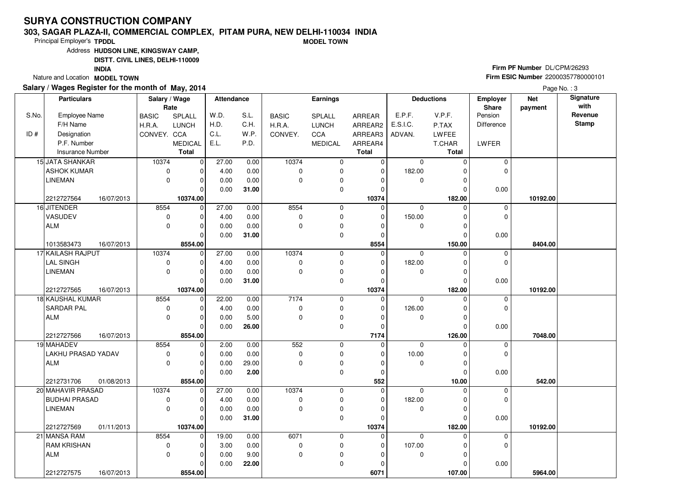#### **303, SAGAR PLAZA-II, COMMERCIAL COMPLEX, PITAM PURA, NEW DELHI-110034 INDIAMODEL TOWN**

Principal Employer's**TPDDL**

Address**HUDSON LINE, KINGSWAY CAMP,**

**DISTT. CIVIL LINES, DELHI-110009**

**INDIA**

Nature and Location **MODEL TOWN** 

### **Salary / Wages Register for the month of May, 2014**

**Firm PF Number** DL/CPM/26293 **Firm ESIC Number** <sup>22000357780000101</sup>

|       | <b>Particulars</b>      |            | Salary / Wage | Rate           | <b>Attendance</b> |       |              | <b>Earnings</b> |              |             | <b>Deductions</b> | Employer<br>Share | <b>Net</b><br>payment | Signature<br>with |
|-------|-------------------------|------------|---------------|----------------|-------------------|-------|--------------|-----------------|--------------|-------------|-------------------|-------------------|-----------------------|-------------------|
| S.No. | <b>Employee Name</b>    |            | <b>BASIC</b>  | SPLALL         | W.D.              | S.L.  | <b>BASIC</b> | SPLALL          | ARREAR       | E.P.F.      | V.P.F.            | Pension           |                       | Revenue           |
|       | F/H Name                |            | H.R.A.        | <b>LUNCH</b>   | H.D.              | C.H.  | H.R.A.       | <b>LUNCH</b>    | ARREAR2      | E.S.I.C.    | P.TAX             | Difference        |                       | <b>Stamp</b>      |
| ID#   | Designation             |            | CONVEY. CCA   |                | C.L.              | W.P.  | CONVEY.      | CCA             | ARREAR3      | ADVAN.      | <b>LWFEE</b>      |                   |                       |                   |
|       | P.F. Number             |            |               | <b>MEDICAL</b> | E.L.              | P.D.  |              | <b>MEDICAL</b>  | ARREAR4      |             | T.CHAR            | LWFER             |                       |                   |
|       | <b>Insurance Number</b> |            |               | <b>Total</b>   |                   |       |              |                 | <b>Total</b> |             | <b>Total</b>      |                   |                       |                   |
|       | 15 JATA SHANKAR         |            | 10374         | 0              | 27.00             | 0.00  | 10374        | 0               | $\mathbf 0$  | $\mathbf 0$ | $\Omega$          | $\mathbf 0$       |                       |                   |
|       | ASHOK KUMAR             |            | 0             | $\Omega$       | 4.00              | 0.00  | $\mathbf 0$  | 0               | $\mathbf 0$  | 182.00      |                   | $\mathbf 0$       |                       |                   |
|       | <b>LINEMAN</b>          |            | $\pmb{0}$     | $\Omega$       | 0.00              | 0.00  | $\mathbf 0$  | 0               | $\Omega$     | 0           | ∩                 |                   |                       |                   |
|       |                         |            |               | $\Omega$       | 0.00              | 31.00 |              | 0               | $\mathbf 0$  |             | $\Omega$          | 0.00              |                       |                   |
|       | 2212727564              | 16/07/2013 |               | 10374.00       |                   |       |              |                 | 10374        |             | 182.00            |                   | 10192.00              |                   |
|       | 16 JITENDER             |            | 8554          | $\Omega$       | 27.00             | 0.00  | 8554         | 0               | $\Omega$     | $\mathbf 0$ | $\Omega$          | $\mathbf 0$       |                       |                   |
|       | VASUDEV                 |            | $\pmb{0}$     | $\Omega$       | 4.00              | 0.00  | $\Omega$     | $\pmb{0}$       | 0            | 150.00      | O                 | $\mathbf 0$       |                       |                   |
|       | ALM                     |            | $\pmb{0}$     | $\Omega$       | 0.00              | 0.00  | $\mathbf 0$  | $\pmb{0}$       | $\Omega$     | 0           |                   |                   |                       |                   |
|       |                         |            |               | $\Omega$       | 0.00              | 31.00 |              | 0               | $\mathbf 0$  |             | $\Omega$          | 0.00              |                       |                   |
|       | 1013583473              | 16/07/2013 |               | 8554.00        |                   |       |              |                 | 8554         |             | 150.00            |                   | 8404.00               |                   |
|       | 17 KAILASH RAJPUT       |            | 10374         | $\Omega$       | 27.00             | 0.00  | 10374        | 0               | $\Omega$     | $\Omega$    | $\Omega$          | $\mathbf 0$       |                       |                   |
|       | <b>LAL SINGH</b>        |            | $\pmb{0}$     | $\Omega$       | 4.00              | 0.00  | $\mathbf 0$  | $\pmb{0}$       | $\mathbf 0$  | 182.00      | 0                 | $\mathbf 0$       |                       |                   |
|       | <b>LINEMAN</b>          |            | $\mathbf 0$   | $\Omega$       | 0.00              | 0.00  | $\mathbf 0$  | $\pmb{0}$       | $\Omega$     | 0           | 0                 |                   |                       |                   |
|       |                         |            |               | $\Omega$       | 0.00              | 31.00 |              | $\mathbf 0$     | $\Omega$     |             | 0                 | 0.00              |                       |                   |
|       | 2212727565              | 16/07/2013 |               | 10374.00       |                   |       |              |                 | 10374        |             | 182.00            |                   | 10192.00              |                   |
|       | 18 KAUSHAL KUMAR        |            | 8554          | $\mathbf 0$    | 22.00             | 0.00  | 7174         | 0               | $\mathbf 0$  | $\mathbf 0$ | $\Omega$          | $\mathbf 0$       |                       |                   |
|       | <b>SARDAR PAL</b>       |            | $\pmb{0}$     | $\Omega$       | 4.00              | 0.00  | $\mathbf 0$  | 0               | $\mathbf 0$  | 126.00      | O                 | $\mathbf 0$       |                       |                   |
|       | ALM                     |            | $\mathbf 0$   | $\Omega$       | 0.00              | 5.00  | 0            | 0               | $\Omega$     | 0           |                   |                   |                       |                   |
|       |                         |            |               | $\Omega$       | 0.00              | 26.00 |              | $\mathbf 0$     | $\Omega$     |             | 0                 | 0.00              |                       |                   |
|       | 2212727566              | 16/07/2013 |               | 8554.00        |                   |       |              |                 | 7174         |             | 126.00            |                   | 7048.00               |                   |
|       | 19 MAHADEV              |            | 8554          | $\mathbf 0$    | 2.00              | 0.00  | 552          | 0               | $\mathbf 0$  | $\mathbf 0$ | $\Omega$          | $\mathbf 0$       |                       |                   |
|       | LAKHU PRASAD YADAV      |            | $\pmb{0}$     | $\Omega$       | 0.00              | 0.00  | $\mathbf 0$  | 0               | $\mathbf 0$  | 10.00       | O                 | $\mathbf 0$       |                       |                   |
|       | ALM                     |            | $\mathbf 0$   | $\Omega$       | 0.00              | 29.00 | $\Omega$     | 0               | $\Omega$     | $\mathbf 0$ | $\Omega$          |                   |                       |                   |
|       |                         |            |               | $\Omega$       | 0.00              | 2.00  |              | 0               | $\mathbf 0$  |             | $\Omega$          | 0.00              |                       |                   |
|       | 2212731706              | 01/08/2013 |               | 8554.00        |                   |       |              |                 | 552          |             | 10.00             |                   | 542.00                |                   |
|       | 20 MAHAVIR PRASAD       |            | 10374         | $\mathbf 0$    | 27.00             | 0.00  | 10374        | 0               | $\mathbf 0$  | $\mathbf 0$ | $\Omega$          | $\mathbf 0$       |                       |                   |
|       | BUDHAI PRASAD           |            | 0             | $\Omega$       | 4.00              | 0.00  | $\mathbf 0$  | $\mathbf 0$     | $\Omega$     | 182.00      | O                 | $\mathbf 0$       |                       |                   |
|       | <b>LINEMAN</b>          |            | $\pmb{0}$     | $\Omega$       | 0.00              | 0.00  | $\mathbf 0$  | 0               | $\Omega$     | 0           | 0                 |                   |                       |                   |
|       |                         |            |               | $\Omega$       | 0.00              | 31.00 |              | $\mathbf 0$     | $\Omega$     |             | $\Omega$          | 0.00              |                       |                   |
|       | 2212727569              | 01/11/2013 |               | 10374.00       |                   |       |              |                 | 10374        |             | 182.00            |                   | 10192.00              |                   |
|       | 21 MANSA RAM            |            | 8554          | $\mathbf 0$    | 19.00             | 0.00  | 6071         | 0               | $\mathbf 0$  | $\Omega$    | $\Omega$          | 0                 |                       |                   |
|       | <b>RAM KRISHAN</b>      |            | $\pmb{0}$     | $\Omega$       | 3.00              | 0.00  | 0            | 0               | 0            | 107.00      | C                 | $\mathbf 0$       |                       |                   |
|       | ALM                     |            | $\mathbf 0$   | $\Omega$       | 0.00              | 9.00  | $\mathbf 0$  | $\pmb{0}$       | $\Omega$     | 0           | O                 |                   |                       |                   |
|       |                         |            |               | O              | 0.00              | 22.00 |              | $\mathbf 0$     | $\Omega$     |             |                   | 0.00              |                       |                   |
|       | 2212727575              | 16/07/2013 |               | 8554.00        |                   |       |              |                 | 6071         |             | 107.00            |                   | 5964.00               |                   |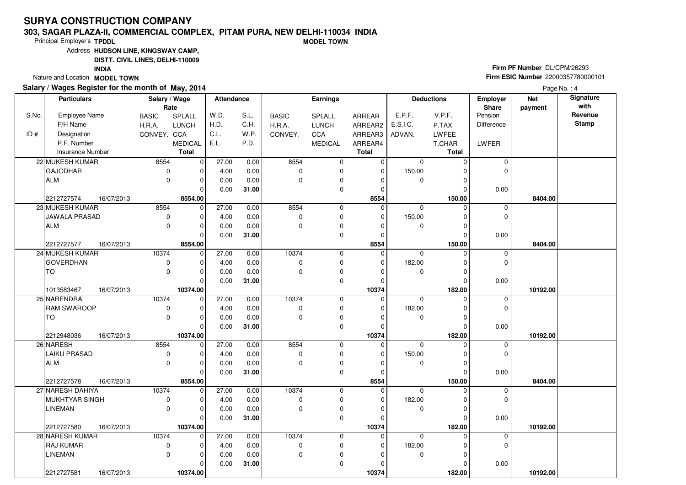#### **303, SAGAR PLAZA-II, COMMERCIAL COMPLEX, PITAM PURA, NEW DELHI-110034 INDIAMODEL TOWN**

Principal Employer's**TPDDL**

Address**HUDSON LINE, KINGSWAY CAMP,**

**DISTT. CIVIL LINES, DELHI-110009**

**INDIA**

Nature and Location **MODEL TOWN** 

### **Salary / Wages Register for the month of May, 2014**

**Firm PF Number** DL/CPM/26293 **Firm ESIC Number** <sup>22000357780000101</sup>

| Revenue<br>S.L.<br>E.P.F.<br>V.P.F.<br>Pension<br>Employee Name<br>SPLALL<br>W.D.<br><b>BASIC</b><br>SPLALL<br><b>BASIC</b><br>ARREAR<br>Stamp<br>F/H Name<br>H.D.<br>C.H.<br><b>LUNCH</b><br>E.S.I.C.<br><b>Difference</b><br>H.R.A.<br><b>LUNCH</b><br>H.R.A.<br>ARREAR2<br>P.TAX<br>ID#<br>C.L.<br>W.P.<br>Designation<br>CONVEY. CCA<br>CONVEY.<br>CCA<br>ARREAR3<br>ADVAN.<br>LWFEE<br>P.F. Number<br>E.L.<br>P.D.<br><b>MEDICAL</b><br><b>MEDICAL</b><br>ARREAR4<br>T.CHAR<br>LWFER<br>Total<br><b>Insurance Number</b><br><b>Total</b><br><b>Total</b><br>22 MUKESH KUMAR<br>27.00<br>8554<br>8554<br>0<br>0.00<br>0<br>$\mathbf 0$<br>$\mathbf 0$<br>$\mathbf 0$<br>$\Omega$<br><b>GAJODHAR</b><br>0.00<br>$\mathbf 0$<br>150.00<br>$\Omega$<br>0<br>4.00<br>$\Omega$<br>$\mathbf 0$<br>$\Omega$<br><b>ALM</b><br>0.00<br>0.00<br>0<br>0<br>$\mathbf 0$<br>$\Omega$<br>$\mathbf 0$<br>$\Omega$<br>∩<br>$\mathbf 0$<br>$\mathbf{0}$<br>31.00<br>0.00<br>0.00<br>$\Omega$<br>C<br>8554.00<br>8554<br>150.00<br>2212727574<br>16/07/2013<br>8404.00<br>27.00<br>8554<br>23 MUKESH KUMAR<br>8554<br> 0 <br>0<br>$\overline{0}$<br>0.00<br>$\mathbf 0$<br>$\Omega$<br>$\mathbf 0$<br><b>JAWALA PRASAD</b><br>0<br>4.00<br>0.00<br>0<br>0<br>150.00<br>$\Omega$<br>$\Omega$<br>$\Omega$<br>C<br><b>ALM</b><br>0<br>0.00<br>0.00<br>0<br>$\mathbf 0$<br>0<br>$\Omega$<br>0<br>$\mathbf{0}$<br>0.00<br>31.00<br>$\mathbf 0$<br>0.00<br>$\Omega$<br>$\Omega$<br>2212727577<br>8554.00<br>8554<br>150.00<br>16/07/2013<br>8404.00<br>24 MUKESH KUMAR<br>10374<br>27.00<br>10374<br>0.00<br>0<br>0<br>$\mathbf 0$<br>$\mathbf 0$<br>$\mathbf 0$<br>$\Omega$<br><b>GOVERDHAN</b><br>0<br>0.00<br>$\mathbf 0$<br>0<br>182.00<br>$\mathbf 0$<br>4.00<br>$\Omega$<br>0<br><b>TO</b><br>0<br>0.00<br>0.00<br>$\mathbf 0$<br>$\Omega$<br>0<br>0<br>$\Omega$<br>$\Omega$<br>$\mathbf 0$<br>0.00<br>0<br>0.00<br>31.00<br>$\Omega$<br>$\sqrt{ }$<br>10374.00<br>10374<br>182.00<br>1013583467<br>16/07/2013<br>10192.00<br>27.00<br>10374<br>25 NARENDRA<br>10374<br>$\mathbf 0$<br>0.00<br>0<br>0<br>$\mathbf 0$<br>$\Omega$<br>$\mathbf 0$<br>182.00<br>$\mathbf{0}$<br>RAM SWAROOP<br>4.00<br>0.00<br>$\mathbf 0$<br>0<br>0<br>$\Omega$<br>$\Omega$<br>TO<br>0<br>0<br>0.00<br>0.00<br>0<br>0<br>0<br>$\Omega$<br>ŋ<br>$\mathbf 0$<br>$\Omega$<br>0.00<br>31.00<br>0.00<br>$\Omega$<br>C<br>10374.00<br>10374<br>182.00<br>2212948036<br>16/07/2013<br>10192.00<br>27.00<br>8554<br>26 NARESH<br>8554<br>$\mathbf 0$<br>0.00<br>0<br>0<br>$\Omega$<br>0<br>$\Omega$<br>150.00<br><b>LAIKU PRASAD</b><br>0<br>4.00<br>0.00<br>$\mathbf 0$<br>0<br>$\mathbf 0$<br>$\Omega$<br>$\Omega$<br>$\Omega$<br>$\pmb{0}$<br><b>ALM</b><br>0.00<br>0.00<br>$\Omega$<br>$\Omega$<br>$\Omega$<br>0<br>∩<br>31.00<br>0<br>0<br>0.00<br>0.00<br>0<br>$\Omega$<br>8554.00<br>8554<br>150.00<br>8404.00<br>2212727578<br>16/07/2013<br>10374<br>27 NARESH DAHIYA<br>10374<br>27.00<br>0.00<br>0<br>$\mathbf 0$<br>$\mathbf 0$<br>$\Omega$<br>$\mathbf 0$<br>O<br>MUKHTYAR SINGH<br>0<br>4.00<br>0.00<br>$\mathbf 0$<br>0<br>182.00<br>$\mathbf 0$<br>$\Omega$<br>$\Omega$<br>0<br>$\mathbf 0$<br><b>LINEMAN</b><br>0.00<br>0.00<br>$\Omega$<br>0<br>0<br>$\mathbf 0$<br>O<br>0.00<br>31.00<br>0<br>0.00<br>$\Omega$<br>$\Omega$<br>$\Omega$<br>16/07/2013<br>10374.00<br>10374<br>182.00<br>2212727580<br>10192.00<br>28 NARESH KUMAR<br>10374<br>10374<br>$\mathbf 0$<br>27.00<br>0.00<br>0<br>$\mathbf 0$<br>0<br>$\Omega$<br>U<br><b>RAJ KUMAR</b><br>0<br>0.00<br>$\mathbf 0$<br>0<br>182.00<br>$\mathbf 0$<br>4.00<br>0<br>$\Omega$<br><b>LINEMAN</b><br>$\mathbf 0$<br>0.00<br>0.00<br>$\mathbf{0}$<br>0<br>$\mathbf 0$<br>0<br>O<br>0<br>0.00<br>31.00<br>0.00<br>0<br>O<br>2212727581<br>16/07/2013<br>10374.00<br>10374<br>182.00<br>10192.00 |       | <b>Particulars</b> | Salary / Wage<br>Rate | Attendance |  | <b>Earnings</b> |  | <b>Deductions</b> | Employer<br>Share | <b>Net</b><br>payment | Signature<br>with |
|------------------------------------------------------------------------------------------------------------------------------------------------------------------------------------------------------------------------------------------------------------------------------------------------------------------------------------------------------------------------------------------------------------------------------------------------------------------------------------------------------------------------------------------------------------------------------------------------------------------------------------------------------------------------------------------------------------------------------------------------------------------------------------------------------------------------------------------------------------------------------------------------------------------------------------------------------------------------------------------------------------------------------------------------------------------------------------------------------------------------------------------------------------------------------------------------------------------------------------------------------------------------------------------------------------------------------------------------------------------------------------------------------------------------------------------------------------------------------------------------------------------------------------------------------------------------------------------------------------------------------------------------------------------------------------------------------------------------------------------------------------------------------------------------------------------------------------------------------------------------------------------------------------------------------------------------------------------------------------------------------------------------------------------------------------------------------------------------------------------------------------------------------------------------------------------------------------------------------------------------------------------------------------------------------------------------------------------------------------------------------------------------------------------------------------------------------------------------------------------------------------------------------------------------------------------------------------------------------------------------------------------------------------------------------------------------------------------------------------------------------------------------------------------------------------------------------------------------------------------------------------------------------------------------------------------------------------------------------------------------------------------------------------------------------------------------------------------------------------------------------------------------------------------------------------------------------------------------------------------------------------------------------------------------------------------------------------------------------------------------------------------------------------------------------------------------------------------------------------------------------------------------------------------------------------------------------------------------------------------------------------------------------------------------------------------------------------------------------------------------------------------------------------------------------------------------------|-------|--------------------|-----------------------|------------|--|-----------------|--|-------------------|-------------------|-----------------------|-------------------|
|                                                                                                                                                                                                                                                                                                                                                                                                                                                                                                                                                                                                                                                                                                                                                                                                                                                                                                                                                                                                                                                                                                                                                                                                                                                                                                                                                                                                                                                                                                                                                                                                                                                                                                                                                                                                                                                                                                                                                                                                                                                                                                                                                                                                                                                                                                                                                                                                                                                                                                                                                                                                                                                                                                                                                                                                                                                                                                                                                                                                                                                                                                                                                                                                                                                                                                                                                                                                                                                                                                                                                                                                                                                                                                                                                                                                                              | S.No. |                    |                       |            |  |                 |  |                   |                   |                       |                   |
|                                                                                                                                                                                                                                                                                                                                                                                                                                                                                                                                                                                                                                                                                                                                                                                                                                                                                                                                                                                                                                                                                                                                                                                                                                                                                                                                                                                                                                                                                                                                                                                                                                                                                                                                                                                                                                                                                                                                                                                                                                                                                                                                                                                                                                                                                                                                                                                                                                                                                                                                                                                                                                                                                                                                                                                                                                                                                                                                                                                                                                                                                                                                                                                                                                                                                                                                                                                                                                                                                                                                                                                                                                                                                                                                                                                                                              |       |                    |                       |            |  |                 |  |                   |                   |                       |                   |
|                                                                                                                                                                                                                                                                                                                                                                                                                                                                                                                                                                                                                                                                                                                                                                                                                                                                                                                                                                                                                                                                                                                                                                                                                                                                                                                                                                                                                                                                                                                                                                                                                                                                                                                                                                                                                                                                                                                                                                                                                                                                                                                                                                                                                                                                                                                                                                                                                                                                                                                                                                                                                                                                                                                                                                                                                                                                                                                                                                                                                                                                                                                                                                                                                                                                                                                                                                                                                                                                                                                                                                                                                                                                                                                                                                                                                              |       |                    |                       |            |  |                 |  |                   |                   |                       |                   |
|                                                                                                                                                                                                                                                                                                                                                                                                                                                                                                                                                                                                                                                                                                                                                                                                                                                                                                                                                                                                                                                                                                                                                                                                                                                                                                                                                                                                                                                                                                                                                                                                                                                                                                                                                                                                                                                                                                                                                                                                                                                                                                                                                                                                                                                                                                                                                                                                                                                                                                                                                                                                                                                                                                                                                                                                                                                                                                                                                                                                                                                                                                                                                                                                                                                                                                                                                                                                                                                                                                                                                                                                                                                                                                                                                                                                                              |       |                    |                       |            |  |                 |  |                   |                   |                       |                   |
|                                                                                                                                                                                                                                                                                                                                                                                                                                                                                                                                                                                                                                                                                                                                                                                                                                                                                                                                                                                                                                                                                                                                                                                                                                                                                                                                                                                                                                                                                                                                                                                                                                                                                                                                                                                                                                                                                                                                                                                                                                                                                                                                                                                                                                                                                                                                                                                                                                                                                                                                                                                                                                                                                                                                                                                                                                                                                                                                                                                                                                                                                                                                                                                                                                                                                                                                                                                                                                                                                                                                                                                                                                                                                                                                                                                                                              |       |                    |                       |            |  |                 |  |                   |                   |                       |                   |
|                                                                                                                                                                                                                                                                                                                                                                                                                                                                                                                                                                                                                                                                                                                                                                                                                                                                                                                                                                                                                                                                                                                                                                                                                                                                                                                                                                                                                                                                                                                                                                                                                                                                                                                                                                                                                                                                                                                                                                                                                                                                                                                                                                                                                                                                                                                                                                                                                                                                                                                                                                                                                                                                                                                                                                                                                                                                                                                                                                                                                                                                                                                                                                                                                                                                                                                                                                                                                                                                                                                                                                                                                                                                                                                                                                                                                              |       |                    |                       |            |  |                 |  |                   |                   |                       |                   |
|                                                                                                                                                                                                                                                                                                                                                                                                                                                                                                                                                                                                                                                                                                                                                                                                                                                                                                                                                                                                                                                                                                                                                                                                                                                                                                                                                                                                                                                                                                                                                                                                                                                                                                                                                                                                                                                                                                                                                                                                                                                                                                                                                                                                                                                                                                                                                                                                                                                                                                                                                                                                                                                                                                                                                                                                                                                                                                                                                                                                                                                                                                                                                                                                                                                                                                                                                                                                                                                                                                                                                                                                                                                                                                                                                                                                                              |       |                    |                       |            |  |                 |  |                   |                   |                       |                   |
|                                                                                                                                                                                                                                                                                                                                                                                                                                                                                                                                                                                                                                                                                                                                                                                                                                                                                                                                                                                                                                                                                                                                                                                                                                                                                                                                                                                                                                                                                                                                                                                                                                                                                                                                                                                                                                                                                                                                                                                                                                                                                                                                                                                                                                                                                                                                                                                                                                                                                                                                                                                                                                                                                                                                                                                                                                                                                                                                                                                                                                                                                                                                                                                                                                                                                                                                                                                                                                                                                                                                                                                                                                                                                                                                                                                                                              |       |                    |                       |            |  |                 |  |                   |                   |                       |                   |
|                                                                                                                                                                                                                                                                                                                                                                                                                                                                                                                                                                                                                                                                                                                                                                                                                                                                                                                                                                                                                                                                                                                                                                                                                                                                                                                                                                                                                                                                                                                                                                                                                                                                                                                                                                                                                                                                                                                                                                                                                                                                                                                                                                                                                                                                                                                                                                                                                                                                                                                                                                                                                                                                                                                                                                                                                                                                                                                                                                                                                                                                                                                                                                                                                                                                                                                                                                                                                                                                                                                                                                                                                                                                                                                                                                                                                              |       |                    |                       |            |  |                 |  |                   |                   |                       |                   |
|                                                                                                                                                                                                                                                                                                                                                                                                                                                                                                                                                                                                                                                                                                                                                                                                                                                                                                                                                                                                                                                                                                                                                                                                                                                                                                                                                                                                                                                                                                                                                                                                                                                                                                                                                                                                                                                                                                                                                                                                                                                                                                                                                                                                                                                                                                                                                                                                                                                                                                                                                                                                                                                                                                                                                                                                                                                                                                                                                                                                                                                                                                                                                                                                                                                                                                                                                                                                                                                                                                                                                                                                                                                                                                                                                                                                                              |       |                    |                       |            |  |                 |  |                   |                   |                       |                   |
|                                                                                                                                                                                                                                                                                                                                                                                                                                                                                                                                                                                                                                                                                                                                                                                                                                                                                                                                                                                                                                                                                                                                                                                                                                                                                                                                                                                                                                                                                                                                                                                                                                                                                                                                                                                                                                                                                                                                                                                                                                                                                                                                                                                                                                                                                                                                                                                                                                                                                                                                                                                                                                                                                                                                                                                                                                                                                                                                                                                                                                                                                                                                                                                                                                                                                                                                                                                                                                                                                                                                                                                                                                                                                                                                                                                                                              |       |                    |                       |            |  |                 |  |                   |                   |                       |                   |
|                                                                                                                                                                                                                                                                                                                                                                                                                                                                                                                                                                                                                                                                                                                                                                                                                                                                                                                                                                                                                                                                                                                                                                                                                                                                                                                                                                                                                                                                                                                                                                                                                                                                                                                                                                                                                                                                                                                                                                                                                                                                                                                                                                                                                                                                                                                                                                                                                                                                                                                                                                                                                                                                                                                                                                                                                                                                                                                                                                                                                                                                                                                                                                                                                                                                                                                                                                                                                                                                                                                                                                                                                                                                                                                                                                                                                              |       |                    |                       |            |  |                 |  |                   |                   |                       |                   |
|                                                                                                                                                                                                                                                                                                                                                                                                                                                                                                                                                                                                                                                                                                                                                                                                                                                                                                                                                                                                                                                                                                                                                                                                                                                                                                                                                                                                                                                                                                                                                                                                                                                                                                                                                                                                                                                                                                                                                                                                                                                                                                                                                                                                                                                                                                                                                                                                                                                                                                                                                                                                                                                                                                                                                                                                                                                                                                                                                                                                                                                                                                                                                                                                                                                                                                                                                                                                                                                                                                                                                                                                                                                                                                                                                                                                                              |       |                    |                       |            |  |                 |  |                   |                   |                       |                   |
|                                                                                                                                                                                                                                                                                                                                                                                                                                                                                                                                                                                                                                                                                                                                                                                                                                                                                                                                                                                                                                                                                                                                                                                                                                                                                                                                                                                                                                                                                                                                                                                                                                                                                                                                                                                                                                                                                                                                                                                                                                                                                                                                                                                                                                                                                                                                                                                                                                                                                                                                                                                                                                                                                                                                                                                                                                                                                                                                                                                                                                                                                                                                                                                                                                                                                                                                                                                                                                                                                                                                                                                                                                                                                                                                                                                                                              |       |                    |                       |            |  |                 |  |                   |                   |                       |                   |
|                                                                                                                                                                                                                                                                                                                                                                                                                                                                                                                                                                                                                                                                                                                                                                                                                                                                                                                                                                                                                                                                                                                                                                                                                                                                                                                                                                                                                                                                                                                                                                                                                                                                                                                                                                                                                                                                                                                                                                                                                                                                                                                                                                                                                                                                                                                                                                                                                                                                                                                                                                                                                                                                                                                                                                                                                                                                                                                                                                                                                                                                                                                                                                                                                                                                                                                                                                                                                                                                                                                                                                                                                                                                                                                                                                                                                              |       |                    |                       |            |  |                 |  |                   |                   |                       |                   |
|                                                                                                                                                                                                                                                                                                                                                                                                                                                                                                                                                                                                                                                                                                                                                                                                                                                                                                                                                                                                                                                                                                                                                                                                                                                                                                                                                                                                                                                                                                                                                                                                                                                                                                                                                                                                                                                                                                                                                                                                                                                                                                                                                                                                                                                                                                                                                                                                                                                                                                                                                                                                                                                                                                                                                                                                                                                                                                                                                                                                                                                                                                                                                                                                                                                                                                                                                                                                                                                                                                                                                                                                                                                                                                                                                                                                                              |       |                    |                       |            |  |                 |  |                   |                   |                       |                   |
|                                                                                                                                                                                                                                                                                                                                                                                                                                                                                                                                                                                                                                                                                                                                                                                                                                                                                                                                                                                                                                                                                                                                                                                                                                                                                                                                                                                                                                                                                                                                                                                                                                                                                                                                                                                                                                                                                                                                                                                                                                                                                                                                                                                                                                                                                                                                                                                                                                                                                                                                                                                                                                                                                                                                                                                                                                                                                                                                                                                                                                                                                                                                                                                                                                                                                                                                                                                                                                                                                                                                                                                                                                                                                                                                                                                                                              |       |                    |                       |            |  |                 |  |                   |                   |                       |                   |
|                                                                                                                                                                                                                                                                                                                                                                                                                                                                                                                                                                                                                                                                                                                                                                                                                                                                                                                                                                                                                                                                                                                                                                                                                                                                                                                                                                                                                                                                                                                                                                                                                                                                                                                                                                                                                                                                                                                                                                                                                                                                                                                                                                                                                                                                                                                                                                                                                                                                                                                                                                                                                                                                                                                                                                                                                                                                                                                                                                                                                                                                                                                                                                                                                                                                                                                                                                                                                                                                                                                                                                                                                                                                                                                                                                                                                              |       |                    |                       |            |  |                 |  |                   |                   |                       |                   |
|                                                                                                                                                                                                                                                                                                                                                                                                                                                                                                                                                                                                                                                                                                                                                                                                                                                                                                                                                                                                                                                                                                                                                                                                                                                                                                                                                                                                                                                                                                                                                                                                                                                                                                                                                                                                                                                                                                                                                                                                                                                                                                                                                                                                                                                                                                                                                                                                                                                                                                                                                                                                                                                                                                                                                                                                                                                                                                                                                                                                                                                                                                                                                                                                                                                                                                                                                                                                                                                                                                                                                                                                                                                                                                                                                                                                                              |       |                    |                       |            |  |                 |  |                   |                   |                       |                   |
|                                                                                                                                                                                                                                                                                                                                                                                                                                                                                                                                                                                                                                                                                                                                                                                                                                                                                                                                                                                                                                                                                                                                                                                                                                                                                                                                                                                                                                                                                                                                                                                                                                                                                                                                                                                                                                                                                                                                                                                                                                                                                                                                                                                                                                                                                                                                                                                                                                                                                                                                                                                                                                                                                                                                                                                                                                                                                                                                                                                                                                                                                                                                                                                                                                                                                                                                                                                                                                                                                                                                                                                                                                                                                                                                                                                                                              |       |                    |                       |            |  |                 |  |                   |                   |                       |                   |
|                                                                                                                                                                                                                                                                                                                                                                                                                                                                                                                                                                                                                                                                                                                                                                                                                                                                                                                                                                                                                                                                                                                                                                                                                                                                                                                                                                                                                                                                                                                                                                                                                                                                                                                                                                                                                                                                                                                                                                                                                                                                                                                                                                                                                                                                                                                                                                                                                                                                                                                                                                                                                                                                                                                                                                                                                                                                                                                                                                                                                                                                                                                                                                                                                                                                                                                                                                                                                                                                                                                                                                                                                                                                                                                                                                                                                              |       |                    |                       |            |  |                 |  |                   |                   |                       |                   |
|                                                                                                                                                                                                                                                                                                                                                                                                                                                                                                                                                                                                                                                                                                                                                                                                                                                                                                                                                                                                                                                                                                                                                                                                                                                                                                                                                                                                                                                                                                                                                                                                                                                                                                                                                                                                                                                                                                                                                                                                                                                                                                                                                                                                                                                                                                                                                                                                                                                                                                                                                                                                                                                                                                                                                                                                                                                                                                                                                                                                                                                                                                                                                                                                                                                                                                                                                                                                                                                                                                                                                                                                                                                                                                                                                                                                                              |       |                    |                       |            |  |                 |  |                   |                   |                       |                   |
|                                                                                                                                                                                                                                                                                                                                                                                                                                                                                                                                                                                                                                                                                                                                                                                                                                                                                                                                                                                                                                                                                                                                                                                                                                                                                                                                                                                                                                                                                                                                                                                                                                                                                                                                                                                                                                                                                                                                                                                                                                                                                                                                                                                                                                                                                                                                                                                                                                                                                                                                                                                                                                                                                                                                                                                                                                                                                                                                                                                                                                                                                                                                                                                                                                                                                                                                                                                                                                                                                                                                                                                                                                                                                                                                                                                                                              |       |                    |                       |            |  |                 |  |                   |                   |                       |                   |
|                                                                                                                                                                                                                                                                                                                                                                                                                                                                                                                                                                                                                                                                                                                                                                                                                                                                                                                                                                                                                                                                                                                                                                                                                                                                                                                                                                                                                                                                                                                                                                                                                                                                                                                                                                                                                                                                                                                                                                                                                                                                                                                                                                                                                                                                                                                                                                                                                                                                                                                                                                                                                                                                                                                                                                                                                                                                                                                                                                                                                                                                                                                                                                                                                                                                                                                                                                                                                                                                                                                                                                                                                                                                                                                                                                                                                              |       |                    |                       |            |  |                 |  |                   |                   |                       |                   |
|                                                                                                                                                                                                                                                                                                                                                                                                                                                                                                                                                                                                                                                                                                                                                                                                                                                                                                                                                                                                                                                                                                                                                                                                                                                                                                                                                                                                                                                                                                                                                                                                                                                                                                                                                                                                                                                                                                                                                                                                                                                                                                                                                                                                                                                                                                                                                                                                                                                                                                                                                                                                                                                                                                                                                                                                                                                                                                                                                                                                                                                                                                                                                                                                                                                                                                                                                                                                                                                                                                                                                                                                                                                                                                                                                                                                                              |       |                    |                       |            |  |                 |  |                   |                   |                       |                   |
|                                                                                                                                                                                                                                                                                                                                                                                                                                                                                                                                                                                                                                                                                                                                                                                                                                                                                                                                                                                                                                                                                                                                                                                                                                                                                                                                                                                                                                                                                                                                                                                                                                                                                                                                                                                                                                                                                                                                                                                                                                                                                                                                                                                                                                                                                                                                                                                                                                                                                                                                                                                                                                                                                                                                                                                                                                                                                                                                                                                                                                                                                                                                                                                                                                                                                                                                                                                                                                                                                                                                                                                                                                                                                                                                                                                                                              |       |                    |                       |            |  |                 |  |                   |                   |                       |                   |
|                                                                                                                                                                                                                                                                                                                                                                                                                                                                                                                                                                                                                                                                                                                                                                                                                                                                                                                                                                                                                                                                                                                                                                                                                                                                                                                                                                                                                                                                                                                                                                                                                                                                                                                                                                                                                                                                                                                                                                                                                                                                                                                                                                                                                                                                                                                                                                                                                                                                                                                                                                                                                                                                                                                                                                                                                                                                                                                                                                                                                                                                                                                                                                                                                                                                                                                                                                                                                                                                                                                                                                                                                                                                                                                                                                                                                              |       |                    |                       |            |  |                 |  |                   |                   |                       |                   |
|                                                                                                                                                                                                                                                                                                                                                                                                                                                                                                                                                                                                                                                                                                                                                                                                                                                                                                                                                                                                                                                                                                                                                                                                                                                                                                                                                                                                                                                                                                                                                                                                                                                                                                                                                                                                                                                                                                                                                                                                                                                                                                                                                                                                                                                                                                                                                                                                                                                                                                                                                                                                                                                                                                                                                                                                                                                                                                                                                                                                                                                                                                                                                                                                                                                                                                                                                                                                                                                                                                                                                                                                                                                                                                                                                                                                                              |       |                    |                       |            |  |                 |  |                   |                   |                       |                   |
|                                                                                                                                                                                                                                                                                                                                                                                                                                                                                                                                                                                                                                                                                                                                                                                                                                                                                                                                                                                                                                                                                                                                                                                                                                                                                                                                                                                                                                                                                                                                                                                                                                                                                                                                                                                                                                                                                                                                                                                                                                                                                                                                                                                                                                                                                                                                                                                                                                                                                                                                                                                                                                                                                                                                                                                                                                                                                                                                                                                                                                                                                                                                                                                                                                                                                                                                                                                                                                                                                                                                                                                                                                                                                                                                                                                                                              |       |                    |                       |            |  |                 |  |                   |                   |                       |                   |
|                                                                                                                                                                                                                                                                                                                                                                                                                                                                                                                                                                                                                                                                                                                                                                                                                                                                                                                                                                                                                                                                                                                                                                                                                                                                                                                                                                                                                                                                                                                                                                                                                                                                                                                                                                                                                                                                                                                                                                                                                                                                                                                                                                                                                                                                                                                                                                                                                                                                                                                                                                                                                                                                                                                                                                                                                                                                                                                                                                                                                                                                                                                                                                                                                                                                                                                                                                                                                                                                                                                                                                                                                                                                                                                                                                                                                              |       |                    |                       |            |  |                 |  |                   |                   |                       |                   |
|                                                                                                                                                                                                                                                                                                                                                                                                                                                                                                                                                                                                                                                                                                                                                                                                                                                                                                                                                                                                                                                                                                                                                                                                                                                                                                                                                                                                                                                                                                                                                                                                                                                                                                                                                                                                                                                                                                                                                                                                                                                                                                                                                                                                                                                                                                                                                                                                                                                                                                                                                                                                                                                                                                                                                                                                                                                                                                                                                                                                                                                                                                                                                                                                                                                                                                                                                                                                                                                                                                                                                                                                                                                                                                                                                                                                                              |       |                    |                       |            |  |                 |  |                   |                   |                       |                   |
|                                                                                                                                                                                                                                                                                                                                                                                                                                                                                                                                                                                                                                                                                                                                                                                                                                                                                                                                                                                                                                                                                                                                                                                                                                                                                                                                                                                                                                                                                                                                                                                                                                                                                                                                                                                                                                                                                                                                                                                                                                                                                                                                                                                                                                                                                                                                                                                                                                                                                                                                                                                                                                                                                                                                                                                                                                                                                                                                                                                                                                                                                                                                                                                                                                                                                                                                                                                                                                                                                                                                                                                                                                                                                                                                                                                                                              |       |                    |                       |            |  |                 |  |                   |                   |                       |                   |
|                                                                                                                                                                                                                                                                                                                                                                                                                                                                                                                                                                                                                                                                                                                                                                                                                                                                                                                                                                                                                                                                                                                                                                                                                                                                                                                                                                                                                                                                                                                                                                                                                                                                                                                                                                                                                                                                                                                                                                                                                                                                                                                                                                                                                                                                                                                                                                                                                                                                                                                                                                                                                                                                                                                                                                                                                                                                                                                                                                                                                                                                                                                                                                                                                                                                                                                                                                                                                                                                                                                                                                                                                                                                                                                                                                                                                              |       |                    |                       |            |  |                 |  |                   |                   |                       |                   |
|                                                                                                                                                                                                                                                                                                                                                                                                                                                                                                                                                                                                                                                                                                                                                                                                                                                                                                                                                                                                                                                                                                                                                                                                                                                                                                                                                                                                                                                                                                                                                                                                                                                                                                                                                                                                                                                                                                                                                                                                                                                                                                                                                                                                                                                                                                                                                                                                                                                                                                                                                                                                                                                                                                                                                                                                                                                                                                                                                                                                                                                                                                                                                                                                                                                                                                                                                                                                                                                                                                                                                                                                                                                                                                                                                                                                                              |       |                    |                       |            |  |                 |  |                   |                   |                       |                   |
|                                                                                                                                                                                                                                                                                                                                                                                                                                                                                                                                                                                                                                                                                                                                                                                                                                                                                                                                                                                                                                                                                                                                                                                                                                                                                                                                                                                                                                                                                                                                                                                                                                                                                                                                                                                                                                                                                                                                                                                                                                                                                                                                                                                                                                                                                                                                                                                                                                                                                                                                                                                                                                                                                                                                                                                                                                                                                                                                                                                                                                                                                                                                                                                                                                                                                                                                                                                                                                                                                                                                                                                                                                                                                                                                                                                                                              |       |                    |                       |            |  |                 |  |                   |                   |                       |                   |
|                                                                                                                                                                                                                                                                                                                                                                                                                                                                                                                                                                                                                                                                                                                                                                                                                                                                                                                                                                                                                                                                                                                                                                                                                                                                                                                                                                                                                                                                                                                                                                                                                                                                                                                                                                                                                                                                                                                                                                                                                                                                                                                                                                                                                                                                                                                                                                                                                                                                                                                                                                                                                                                                                                                                                                                                                                                                                                                                                                                                                                                                                                                                                                                                                                                                                                                                                                                                                                                                                                                                                                                                                                                                                                                                                                                                                              |       |                    |                       |            |  |                 |  |                   |                   |                       |                   |
|                                                                                                                                                                                                                                                                                                                                                                                                                                                                                                                                                                                                                                                                                                                                                                                                                                                                                                                                                                                                                                                                                                                                                                                                                                                                                                                                                                                                                                                                                                                                                                                                                                                                                                                                                                                                                                                                                                                                                                                                                                                                                                                                                                                                                                                                                                                                                                                                                                                                                                                                                                                                                                                                                                                                                                                                                                                                                                                                                                                                                                                                                                                                                                                                                                                                                                                                                                                                                                                                                                                                                                                                                                                                                                                                                                                                                              |       |                    |                       |            |  |                 |  |                   |                   |                       |                   |
|                                                                                                                                                                                                                                                                                                                                                                                                                                                                                                                                                                                                                                                                                                                                                                                                                                                                                                                                                                                                                                                                                                                                                                                                                                                                                                                                                                                                                                                                                                                                                                                                                                                                                                                                                                                                                                                                                                                                                                                                                                                                                                                                                                                                                                                                                                                                                                                                                                                                                                                                                                                                                                                                                                                                                                                                                                                                                                                                                                                                                                                                                                                                                                                                                                                                                                                                                                                                                                                                                                                                                                                                                                                                                                                                                                                                                              |       |                    |                       |            |  |                 |  |                   |                   |                       |                   |
|                                                                                                                                                                                                                                                                                                                                                                                                                                                                                                                                                                                                                                                                                                                                                                                                                                                                                                                                                                                                                                                                                                                                                                                                                                                                                                                                                                                                                                                                                                                                                                                                                                                                                                                                                                                                                                                                                                                                                                                                                                                                                                                                                                                                                                                                                                                                                                                                                                                                                                                                                                                                                                                                                                                                                                                                                                                                                                                                                                                                                                                                                                                                                                                                                                                                                                                                                                                                                                                                                                                                                                                                                                                                                                                                                                                                                              |       |                    |                       |            |  |                 |  |                   |                   |                       |                   |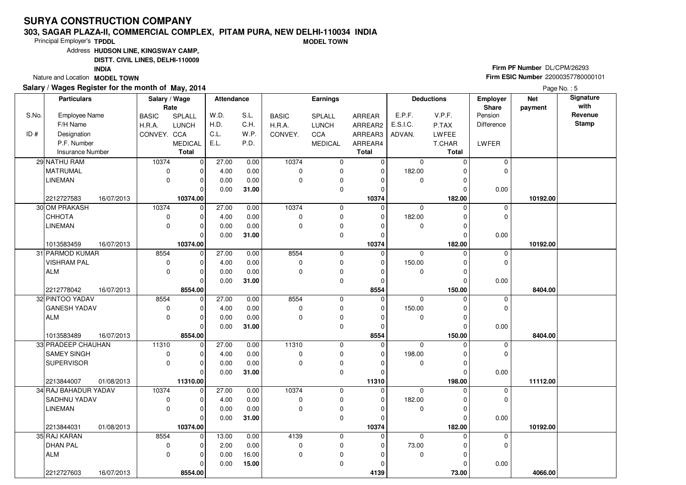#### **303, SAGAR PLAZA-II, COMMERCIAL COMPLEX, PITAM PURA, NEW DELHI-110034 INDIAMODEL TOWN**

Principal Employer's**TPDDL**

Address**HUDSON LINE, KINGSWAY CAMP,**

**DISTT. CIVIL LINES, DELHI-110009**

**INDIA**

Nature and Location **MODEL TOWN** 

### **Salary / Wages Register for the month of May, 2014**

**Firm PF Number** DL/CPM/26293 **Firm ESIC Number** <sup>22000357780000101</sup>

|       | <b>Particulars</b>       | Salary / Wage | Rate           | Attendance |       |              | <b>Earnings</b> |              |             | <b>Deductions</b> | Employer<br>Share | <b>Net</b><br>payment | Signature<br>with |
|-------|--------------------------|---------------|----------------|------------|-------|--------------|-----------------|--------------|-------------|-------------------|-------------------|-----------------------|-------------------|
| S.No. | <b>Employee Name</b>     | <b>BASIC</b>  | SPLALL         | W.D.       | S.L.  | <b>BASIC</b> | SPLALL          | ARREAR       | E.P.F.      | V.P.F.            | Pension           |                       | Revenue           |
|       | F/H Name                 | H.R.A.        | <b>LUNCH</b>   | H.D.       | C.H.  | H.R.A.       | <b>LUNCH</b>    | ARREAR2      | E.S.I.C.    | P.TAX             | Difference        |                       | <b>Stamp</b>      |
| ID#   | Designation              | CONVEY. CCA   |                | C.L.       | W.P.  | CONVEY.      | CCA             | ARREAR3      | ADVAN.      | <b>LWFEE</b>      |                   |                       |                   |
|       | P.F. Number              |               | <b>MEDICAL</b> | E.L.       | P.D.  |              | <b>MEDICAL</b>  | ARREAR4      |             | T.CHAR            | LWFER             |                       |                   |
|       | <b>Insurance Number</b>  |               | <b>Total</b>   |            |       |              |                 | <b>Total</b> |             | Total             |                   |                       |                   |
|       | 29 NATHU RAM             | 10374         | 0              | 27.00      | 0.00  | 10374        | 0               | 0            | $\mathbf 0$ | $\Omega$          | $\mathbf 0$       |                       |                   |
|       | <b>MATRUMAL</b>          | 0             | 0              | 4.00       | 0.00  | $\mathbf 0$  | 0               | $\mathbf 0$  | 182.00      |                   | $\Omega$          |                       |                   |
|       | <b>LINEMAN</b>           | $\mathbf 0$   | $\Omega$       | 0.00       | 0.00  | $\mathbf 0$  | 0               | $\Omega$     | $\mathbf 0$ | O                 |                   |                       |                   |
|       |                          |               | $\Omega$       | 0.00       | 31.00 |              | 0               | $\mathbf 0$  |             | 0                 | 0.00              |                       |                   |
|       | 2212727583<br>16/07/2013 |               | 10374.00       |            |       |              |                 | 10374        |             | 182.00            |                   | 10192.00              |                   |
|       | 30 OM PRAKASH            | 10374         | $\Omega$       | 27.00      | 0.00  | 10374        | 0               | $\Omega$     | $\mathbf 0$ | $\Omega$          | 0                 |                       |                   |
|       | СННОТА                   | $\pmb{0}$     | $\Omega$       | 4.00       | 0.00  | $\Omega$     | 0               | 0            | 182.00      | O                 | $\Omega$          |                       |                   |
|       | <b>LINEMAN</b>           | $\mathbf 0$   | $\Omega$       | 0.00       | 0.00  | $\mathbf 0$  | $\pmb{0}$       | $\Omega$     | 0           |                   |                   |                       |                   |
|       |                          |               | $\Omega$       | 0.00       | 31.00 |              | 0               | $\Omega$     |             | $\Omega$          | 0.00              |                       |                   |
|       | 1013583459<br>16/07/2013 |               | 10374.00       |            |       |              |                 | 10374        |             | 182.00            |                   | 10192.00              |                   |
|       | 31 PARMOD KUMAR          | 8554          | $\Omega$       | 27.00      | 0.00  | 8554         | 0               | $\Omega$     | $\Omega$    | $\Omega$          | 0                 |                       |                   |
|       | <b>VISHRAM PAL</b>       | $\pmb{0}$     | 0              | 4.00       | 0.00  | $\mathbf 0$  | 0               | 0            | 150.00      | 0                 | $\mathbf 0$       |                       |                   |
|       | <b>ALM</b>               | $\mathbf 0$   | $\Omega$       | 0.00       | 0.00  | $\mathbf 0$  | $\pmb{0}$       | $\Omega$     | $\mathbf 0$ |                   |                   |                       |                   |
|       |                          |               | $\Omega$       | 0.00       | 31.00 |              | 0               | 0            |             | O                 | 0.00              |                       |                   |
|       | 2212778042<br>16/07/2013 |               | 8554.00        |            |       |              |                 | 8554         |             | 150.00            |                   | 8404.00               |                   |
|       | 32 PINTOO YADAV          | 8554          | $\mathbf 0$    | 27.00      | 0.00  | 8554         | 0               | 0            | $\mathbf 0$ | $\Omega$          | 0                 |                       |                   |
|       | <b>GANESH YADAV</b>      | $\mathbf 0$   | $\Omega$       | 4.00       | 0.00  | $\mathbf 0$  | 0               | $\mathbf 0$  | 150.00      |                   | $\mathbf 0$       |                       |                   |
|       | <b>ALM</b>               | $\mathbf 0$   | O              | 0.00       | 0.00  | 0            | $\pmb{0}$       | $\Omega$     | 0           |                   |                   |                       |                   |
|       |                          |               | $\Omega$       | 0.00       | 31.00 |              | 0               | $\Omega$     |             | O                 | 0.00              |                       |                   |
|       | 1013583489<br>16/07/2013 |               | 8554.00        |            |       |              |                 | 8554         |             | 150.00            |                   | 8404.00               |                   |
|       | 33 PRADEEP CHAUHAN       | 11310         | $\Omega$       | 27.00      | 0.00  | 11310        | 0               | $\mathbf 0$  | $\Omega$    | $\Omega$          | $\mathbf 0$       |                       |                   |
|       | SAMEY SINGH              | $\pmb{0}$     |                | 4.00       | 0.00  | $\mathbf 0$  | 0               | $\mathbf 0$  | 198.00      |                   | $\mathbf 0$       |                       |                   |
|       | <b>SUPERVISOR</b>        | $\mathbf 0$   | O              | 0.00       | 0.00  | $\Omega$     | 0               | $\Omega$     | $\mathbf 0$ | ŋ                 |                   |                       |                   |
|       |                          |               | $\Omega$       | 0.00       | 31.00 |              | $\mathbf 0$     | $\mathbf 0$  |             |                   | 0.00              |                       |                   |
|       | 2213844007<br>01/08/2013 |               | 11310.00       |            |       |              |                 | 11310        |             | 198.00            |                   | 11112.00              |                   |
|       | 34 RAJ BAHADUR YADAV     | 10374         | $\mathbf 0$    | 27.00      | 0.00  | 10374        | 0               | 0            | $\mathbf 0$ | $\Omega$          | $\mathbf 0$       |                       |                   |
|       | SADHNU YADAV             | 0             | O              | 4.00       | 0.00  | $\mathbf 0$  | 0               | 0            | 182.00      | O                 | $\Omega$          |                       |                   |
|       | <b>LINEMAN</b>           | $\mathbf 0$   | $\Omega$       | 0.00       | 0.00  | $\mathbf 0$  | 0               | $\Omega$     | 0           | 0                 |                   |                       |                   |
|       |                          |               | $\Omega$       | 0.00       | 31.00 |              | $\mathbf 0$     | $\Omega$     |             | $\Omega$          | 0.00              |                       |                   |
|       | 2213844031<br>01/08/2013 |               | 10374.00       |            |       |              |                 | 10374        |             | 182.00            |                   | 10192.00              |                   |
|       | 35 RAJ KARAN             | 8554          | $\mathbf 0$    | 13.00      | 0.00  | 4139         | 0               | $\mathbf 0$  | $\Omega$    | O                 | 0                 |                       |                   |
|       | <b>DHAN PAL</b>          | $\pmb{0}$     | 0              | 2.00       | 0.00  | 0            | 0               | 0            | 73.00       |                   | $\mathbf 0$       |                       |                   |
|       | <b>ALM</b>               | $\mathbf 0$   | $\Omega$       | 0.00       | 16.00 | $\mathbf 0$  | $\pmb{0}$       | $\Omega$     | 0           |                   |                   |                       |                   |
|       |                          |               |                | 0.00       | 15.00 |              | $\mathbf 0$     | $\Omega$     |             |                   | 0.00              |                       |                   |
|       | 2212727603<br>16/07/2013 |               | 8554.00        |            |       |              |                 | 4139         |             | 73.00             |                   | 4066.00               |                   |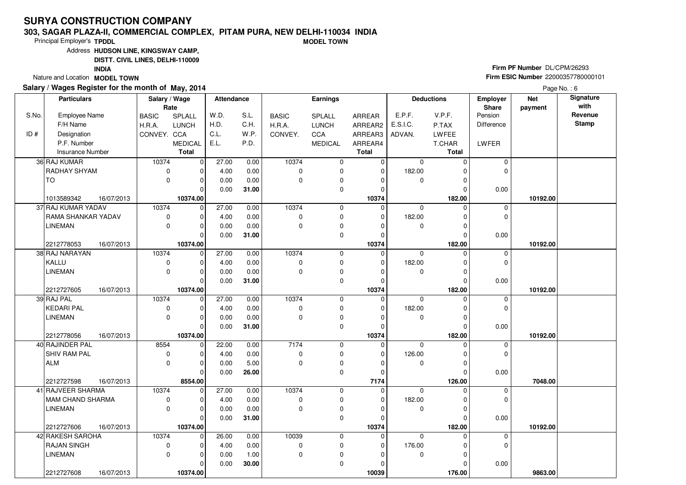#### **303, SAGAR PLAZA-II, COMMERCIAL COMPLEX, PITAM PURA, NEW DELHI-110034 INDIAMODEL TOWN**

Principal Employer's**TPDDL**

Address**HUDSON LINE, KINGSWAY CAMP,**

**DISTT. CIVIL LINES, DELHI-110009**

**INDIA**

Nature and Location **MODEL TOWN** 

### **Salary / Wages Register for the month of May, 2014**

**Firm PF Number** DL/CPM/26293 **Firm ESIC Number** <sup>22000357780000101</sup>

|       | <b>Particulars</b>                     | Salary / Wage | Rate           | <b>Attendance</b> |              |              | <b>Earnings</b>        |                |             | <b>Deductions</b>  | Employer<br>Share | <b>Net</b><br>payment | Signature<br>with |
|-------|----------------------------------------|---------------|----------------|-------------------|--------------|--------------|------------------------|----------------|-------------|--------------------|-------------------|-----------------------|-------------------|
| S.No. | <b>Employee Name</b>                   | <b>BASIC</b>  | SPLALL         | W.D.              | S.L.         | <b>BASIC</b> | <b>SPLALL</b>          | ARREAR         | E.P.F.      | V.P.F.             | Pension           |                       | Revenue           |
|       | F/H Name                               | H.R.A.        | <b>LUNCH</b>   | H.D.              | C.H.         | H.R.A.       | <b>LUNCH</b>           | ARREAR2        | E.S.I.C.    | P.TAX              | <b>Difference</b> |                       | <b>Stamp</b>      |
| ID#   | Designation                            | CONVEY. CCA   |                | C.L.              | W.P.         | CONVEY.      | <b>CCA</b>             | ARREAR3        | ADVAN.      | LWFEE              |                   |                       |                   |
|       | P.F. Number                            |               | MEDICAL        | E.L.              | P.D.         |              | <b>MEDICAL</b>         | ARREAR4        |             | T.CHAR             | LWFER             |                       |                   |
|       | <b>Insurance Number</b>                |               | <b>Total</b>   |                   |              |              |                        | <b>Total</b>   |             | <b>Total</b>       |                   |                       |                   |
|       | 36 RAJ KUMAR                           | 10374         | $\overline{0}$ | 27.00             | 0.00         | 10374        | 0                      | $\overline{0}$ | $\mathbf 0$ | $\Omega$           | $\mathbf 0$       |                       |                   |
|       | RADHAY SHYAM                           | $\mathbf 0$   | $\Omega$       | 4.00              | 0.00         | $\Omega$     | $\mathbf 0$            | $\Omega$       | 182.00      | $\Omega$           | $\Omega$          |                       |                   |
|       | TO                                     | 0             | $\Omega$       | 0.00              | 0.00         | 0            | $\pmb{0}$              | 0              | $\mathbf 0$ | 0                  |                   |                       |                   |
|       |                                        |               | $\Omega$       | 0.00              | 31.00        |              | $\mathbf 0$            | $\Omega$       |             | 0                  | 0.00              |                       |                   |
|       | 1013589342<br>16/07/2013               |               | 10374.00       |                   |              |              |                        | 10374          |             | 182.00             |                   | 10192.00              |                   |
|       | 37 RAJ KUMAR YADAV                     | 10374         | $\overline{0}$ | 27.00             | 0.00         | 10374        | 0                      | $\mathbf 0$    | $\mathbf 0$ | $\Omega$           | 0                 |                       |                   |
|       | <b>RAMA SHANKAR YADAV</b>              | 0             | $\Omega$       | 4.00              | 0.00         | $\mathbf 0$  | 0                      | $\Omega$       | 182.00      | $\Omega$           | $\mathbf 0$       |                       |                   |
|       | LINEMAN                                | 0             | $\Omega$       | 0.00              | 0.00         | 0            | $\pmb{0}$              | O              | 0           | $\Omega$           |                   |                       |                   |
|       |                                        |               | $\Omega$       | 0.00              | 31.00        |              | $\mathbf 0$            | $\Omega$       |             | $\Omega$           | 0.00              |                       |                   |
|       | 2212778053<br>16/07/2013               |               | 10374.00       |                   |              |              |                        | 10374          |             | 182.00             |                   | 10192.00              |                   |
|       | 38 RAJ NARAYAN                         | 10374         | $\mathbf 0$    | 27.00             | 0.00         | 10374        | 0                      | $\mathbf 0$    | 0           | $\Omega$           | $\mathbf 0$       |                       |                   |
|       | KALLU                                  | $\mathbf 0$   | $\Omega$       | 4.00              | 0.00         | 0            | $\mathbf 0$            | $\Omega$       | 182.00      | $\Omega$           | 0                 |                       |                   |
|       | <b>LINEMAN</b>                         | 0             | 0              | 0.00              | 0.00         | $\Omega$     | $\pmb{0}$              | $\Omega$       | 0           | 0                  |                   |                       |                   |
|       |                                        |               | $\mathbf{0}$   | 0.00              | 31.00        |              | $\mathbf 0$            | $\Omega$       |             | $\Omega$           | 0.00              |                       |                   |
|       | 2212727605<br>16/07/2013               |               | 10374.00       |                   |              |              |                        | 10374          |             | 182.00             |                   | 10192.00              |                   |
|       | 39 RAJ PAL                             | 10374         | $\mathbf 0$    | 27.00             | 0.00         | 10374        | 0                      | $\mathbf 0$    | $\mathbf 0$ | $\Omega$           | 0                 |                       |                   |
|       | KEDARI PAL                             | 0             | $\Omega$       | 4.00              | 0.00         | 0            | $\mathbf 0$            | $\Omega$       | 182.00      | $\Omega$           | 0                 |                       |                   |
|       | <b>LINEMAN</b>                         | 0             | 0              | 0.00              | 0.00         | 0            | $\pmb{0}$              | O              | 0           | $\Omega$           |                   |                       |                   |
|       |                                        |               | $\Omega$       | 0.00              | 31.00        |              | $\mathbf 0$            | $\Omega$       |             | $\Omega$           | 0.00              |                       |                   |
|       | 2212778056<br>16/07/2013               |               | 10374.00       |                   |              |              |                        | 10374          |             | 182.00             |                   | 10192.00              |                   |
|       | 40 RAJINDER PAL                        | 8554          | $\mathbf 0$    | 22.00             | 0.00         | 7174         | 0                      | $\mathbf 0$    | $\Omega$    | $\Omega$           | 0                 |                       |                   |
|       | SHIV RAM PAL                           | $\mathbf 0$   | $\mathbf{0}$   | 4.00              | 0.00         | $\mathbf 0$  | $\mathbf 0$            | $\Omega$       | 126.00      | $\Omega$           | 0                 |                       |                   |
|       | ALM                                    | $\Omega$      | $\Omega$       | 0.00              | 5.00         | $\Omega$     | $\pmb{0}$              | 0              | 0           | $\Omega$           |                   |                       |                   |
|       |                                        |               | $\Omega$       | 0.00              | 26.00        |              | $\mathbf 0$            | $\Omega$       |             | $\Omega$           | 0.00              |                       |                   |
|       | 2212727598<br>16/07/2013               |               | 8554.00        |                   |              |              |                        | 7174           |             | 126.00             |                   | 7048.00               |                   |
|       | 41 RAJVEER SHARMA                      | 10374         | 0              | 27.00             | 0.00         | 10374        | $\mathbf 0$            | 0              | $\mathbf 0$ | $\Omega$           | 0                 |                       |                   |
|       | MAM CHAND SHARMA                       | 0<br>$\Omega$ | $\Omega$       | 4.00              | 0.00         | $\mathbf 0$  | $\mathbf 0$            | $\Omega$       | 182.00      | $\Omega$           | 0                 |                       |                   |
|       | <b>LINEMAN</b>                         |               | $\Omega$       | 0.00              | 0.00         | $\Omega$     | 0                      | O              | 0           | $\Omega$           |                   |                       |                   |
|       |                                        |               | $\Omega$       | 0.00              | 31.00        |              | $\mathbf 0$            | $\Omega$       |             | $\Omega$           | 0.00              |                       |                   |
|       | 2212727606<br>16/07/2013               |               | 10374.00<br>0  |                   |              |              |                        | 10374<br>0     | $\Omega$    | 182.00<br>$\Omega$ |                   | 10192.00              |                   |
|       | 42 RAKESH SAROHA<br><b>RAJAN SINGH</b> | 10374<br>0    | 0              | 26.00             | 0.00         | 10039<br>0   | $\mathbf 0$            |                | 176.00      | $\Omega$           | 0<br>0            |                       |                   |
|       | <b>LINEMAN</b>                         | $\Omega$      | $\Omega$       | 4.00              | 0.00<br>1.00 | $\mathbf 0$  | $\pmb{0}$<br>$\pmb{0}$ | 0<br>0         | 0           | $\Omega$           |                   |                       |                   |
|       |                                        |               | $\Omega$       | 0.00<br>0.00      |              |              | 0                      | 0              |             |                    |                   |                       |                   |
|       |                                        |               |                |                   | 30.00        |              |                        |                |             | 0                  | 0.00              |                       |                   |
|       | 2212727608<br>16/07/2013               |               | 10374.00       |                   |              |              |                        | 10039          |             | 176.00             |                   | 9863.00               |                   |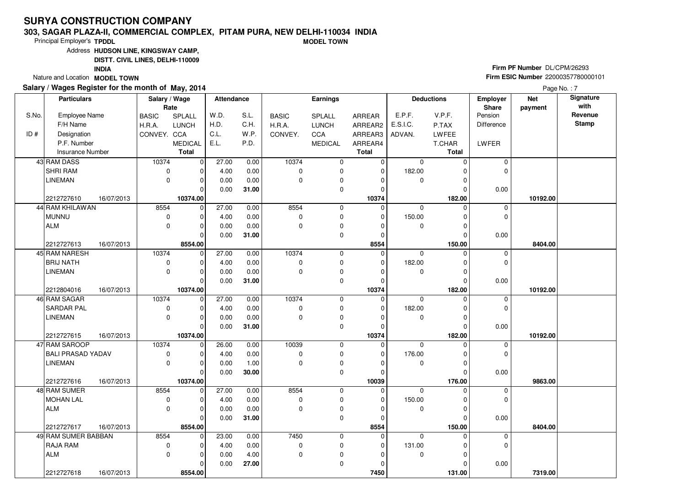#### **303, SAGAR PLAZA-II, COMMERCIAL COMPLEX, PITAM PURA, NEW DELHI-110034 INDIAMODEL TOWN**

Principal Employer's**TPDDL**

Address**HUDSON LINE, KINGSWAY CAMP,**

**DISTT. CIVIL LINES, DELHI-110009**

**INDIA**

Nature and Location **MODEL TOWN** 

### **Salary / Wages Register for the month of May, 2014**

**Firm PF Number** DL/CPM/26293 **Firm ESIC Number** <sup>22000357780000101</sup>

|       | <b>Particulars</b>                         |                          | Salary / Wage<br>Rate   | <b>Attendance</b> |       |              | Earnings       |                      |             | <b>Deductions</b>    | Employer<br>Share | <b>Net</b><br>payment | Signature<br>with |
|-------|--------------------------------------------|--------------------------|-------------------------|-------------------|-------|--------------|----------------|----------------------|-------------|----------------------|-------------------|-----------------------|-------------------|
| S.No. | <b>Employee Name</b>                       | <b>BASIC</b>             | SPLALL                  | W.D.              | S.L.  | <b>BASIC</b> | SPLALL         | ARREAR               | E.P.F.      | V.P.F.               | Pension           |                       | Revenue           |
|       | F/H Name                                   | H.R.A.                   | <b>LUNCH</b>            | H.D.              | C.H.  | H.R.A.       | <b>LUNCH</b>   | ARREAR2              | E.S.I.C.    | P.TAX                | Difference        |                       | <b>Stamp</b>      |
| ID#   | Designation                                | CONVEY. CCA              |                         | C.L.              | W.P.  | CONVEY.      | CCA            | ARREAR3              | ADVAN.      | LWFEE                |                   |                       |                   |
|       | P.F. Number                                |                          | <b>MEDICAL</b>          | E.L.              | P.D.  |              | <b>MEDICAL</b> | ARREAR4              |             | T.CHAR               | LWFER             |                       |                   |
|       | <b>Insurance Number</b>                    |                          | <b>Total</b>            |                   |       |              |                | <b>Total</b>         |             | Total                |                   |                       |                   |
|       | 43 RAM DASS                                | 10374                    | $\overline{0}$          | 27.00             | 0.00  | 10374        | 0              | $\overline{0}$       | $\mathbf 0$ | $\Omega$             | 0                 |                       |                   |
|       | SHRI RAM                                   | 0                        | $\Omega$                | 4.00              | 0.00  | $\mathbf 0$  | 0              | $\mathbf 0$          | 182.00      | 0                    | $\Omega$          |                       |                   |
|       | <b>LINEMAN</b>                             | 0                        | $\Omega$                | 0.00              | 0.00  | $\mathbf 0$  | 0              | $\Omega$             | 0           | 0                    |                   |                       |                   |
|       |                                            |                          | $\Omega$                | 0.00              | 31.00 |              | 0              | 0                    |             | $\Omega$             | 0.00              |                       |                   |
|       | 2212727610<br>16/07/2013                   |                          | 10374.00                |                   |       |              |                | 10374                |             | 182.00               |                   | 10192.00              |                   |
|       | 44 RAM KHILAWAN                            | 8554                     | $\Omega$                | 27.00             | 0.00  | 8554         | 0              | $\Omega$             | $\mathbf 0$ | $\Omega$             | 0                 |                       |                   |
|       | <b>MUNNU</b>                               | $\pmb{0}$                | $\Omega$                | 4.00              | 0.00  | 0            | 0              | $\Omega$             | 150.00      | $\Omega$             | 0                 |                       |                   |
|       | <b>ALM</b>                                 | $\mathbf 0$              | $\Omega$                | 0.00              | 0.00  | $\mathbf 0$  | 0              | 0                    | 0           | 0                    |                   |                       |                   |
|       |                                            |                          | $\Omega$                | 0.00              | 31.00 |              | 0              | $\mathbf 0$          |             | 0                    | 0.00              |                       |                   |
|       | 2212727613<br>16/07/2013                   |                          | 8554.00                 |                   |       |              |                | 8554                 |             | 150.00               |                   | 8404.00               |                   |
|       | 45 RAM NARESH                              | 10374                    | $\Omega$                | 27.00             | 0.00  | 10374        | 0              | $\Omega$             | $\Omega$    | $\Omega$             | 0                 |                       |                   |
|       | <b>BRIJ NATH</b>                           | $\pmb{0}$                | $\Omega$                | 4.00              | 0.00  | $\mathbf 0$  | 0              | $\mathbf 0$          | 182.00      | 0                    | 0                 |                       |                   |
|       | <b>LINEMAN</b>                             | $\mathbf 0$              | $\Omega$                | 0.00              | 0.00  | $\mathbf 0$  | 0              | 0                    | 0           | 0                    |                   |                       |                   |
|       |                                            |                          | $\Omega$                | 0.00              | 31.00 |              | 0              | $\Omega$             |             | 0                    | 0.00              |                       |                   |
|       | 2212804016<br>16/07/2013                   |                          | 10374.00                |                   |       |              |                | 10374                |             | 182.00               |                   | 10192.00              |                   |
|       | 46 RAM SAGAR                               | 10374                    | $\mathbf 0$             | 27.00             | 0.00  | 10374        | 0              | $\mathbf 0$          | $\mathbf 0$ | $\mathbf 0$          | $\mathbf 0$       |                       |                   |
|       | <b>SARDAR PAL</b>                          | 0                        | $\Omega$                | 4.00              | 0.00  | $\mathbf 0$  | 0              | $\mathbf 0$          | 182.00      | 0                    | 0                 |                       |                   |
|       | <b>LINEMAN</b>                             | $\mathbf 0$              | $\Omega$                | 0.00              | 0.00  | $\mathbf 0$  | 0              | $\Omega$             | 0           | 0                    |                   |                       |                   |
|       |                                            |                          | $\Omega$                | 0.00              | 31.00 |              | 0              | $\Omega$             |             | 0                    | 0.00              |                       |                   |
|       | 2212727615<br>16/07/2013                   |                          | 10374.00                |                   |       |              |                | 10374                |             | 182.00               |                   | 10192.00              |                   |
|       | 47 RAM SAROOP                              | 10374                    | $\mathbf 0$             | 26.00             | 0.00  | 10039        | $\mathbf 0$    | $\mathbf 0$          | $\Omega$    | $\Omega$             | $\mathbf 0$       |                       |                   |
|       | <b>BALI PRASAD YADAV</b><br><b>LINEMAN</b> | $\pmb{0}$<br>$\mathbf 0$ | $\Omega$<br>$\Omega$    | 4.00              | 0.00  | $\mathbf 0$  | 0              | $\mathbf 0$          | 176.00      | 0                    | 0                 |                       |                   |
|       |                                            |                          | $\Omega$                | 0.00              | 1.00  | $\Omega$     | 0<br>0         | $\Omega$<br>$\Omega$ | $\mathbf 0$ | $\Omega$<br>$\Omega$ | 0.00              |                       |                   |
|       |                                            |                          |                         | 0.00              | 30.00 |              |                |                      |             |                      |                   | 9863.00               |                   |
|       | 2212727616<br>16/07/2013<br>48 RAM SUMER   | 8554                     | 10374.00<br>$\mathbf 0$ | 27.00             | 0.00  | 8554         | $\mathbf 0$    | 10039<br>0           | $\mathbf 0$ | 176.00<br>$\Omega$   | $\mathbf 0$       |                       |                   |
|       | <b>MOHAN LAL</b>                           | 0                        | $\Omega$                | 4.00              | 0.00  | $\mathbf 0$  | 0              | $\Omega$             | 150.00      | $\Omega$             | $\mathbf 0$       |                       |                   |
|       | <b>ALM</b>                                 | $\mathbf 0$              | $\Omega$                | 0.00              | 0.00  | $\mathbf 0$  | 0              | $\Omega$             | 0           | 0                    |                   |                       |                   |
|       |                                            |                          | $\Omega$                | 0.00              | 31.00 |              | 0              | $\Omega$             |             | $\Omega$             | 0.00              |                       |                   |
|       | 2212727617<br>16/07/2013                   |                          | 8554.00                 |                   |       |              |                | 8554                 |             | 150.00               |                   | 8404.00               |                   |
|       | 49 RAM SUMER BABBAN                        | 8554                     | $\mathbf 0$             | 23.00             | 0.00  | 7450         | 0              | $\mathbf 0$          | $\Omega$    | $\Omega$             | $\mathbf 0$       |                       |                   |
|       | RAJA RAM                                   | 0                        | $\Omega$                | 4.00              | 0.00  | 0            | 0              | 0                    | 131.00      | 0                    | $\mathbf 0$       |                       |                   |
|       | <b>ALM</b>                                 | $\mathbf 0$              | $\Omega$                | 0.00              | 4.00  | $\mathbf 0$  | $\pmb{0}$      | $\Omega$             | $\mathbf 0$ | $\Omega$             |                   |                       |                   |
|       |                                            |                          | O                       | 0.00              | 27.00 |              | 0              | $\Omega$             |             | 0                    | 0.00              |                       |                   |
|       | 2212727618<br>16/07/2013                   |                          | 8554.00                 |                   |       |              |                | 7450                 |             | 131.00               |                   | 7319.00               |                   |
|       |                                            |                          |                         |                   |       |              |                |                      |             |                      |                   |                       |                   |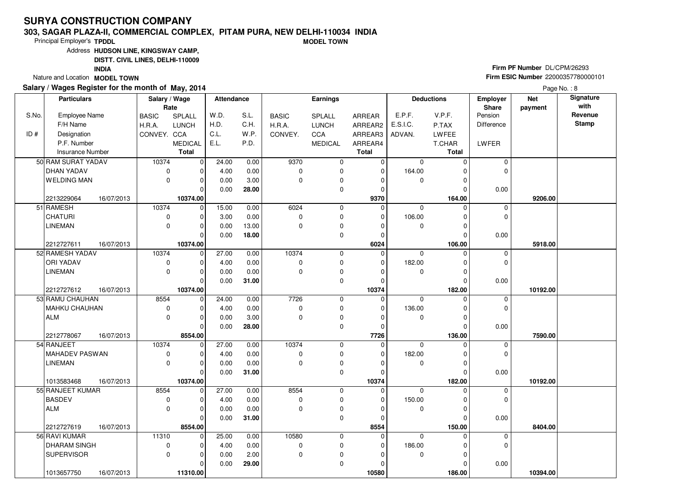#### **303, SAGAR PLAZA-II, COMMERCIAL COMPLEX, PITAM PURA, NEW DELHI-110034 INDIAMODEL TOWN**

Principal Employer's**TPDDL**

Address**HUDSON LINE, KINGSWAY CAMP,**

**DISTT. CIVIL LINES, DELHI-110009**

**INDIA**

Nature and Location **MODEL TOWN** 

### **Salary / Wages Register for the month of May, 2014**

**Firm PF Number** DL/CPM/26293 **Firm ESIC Number** <sup>22000357780000101</sup>

|       | <b>Particulars</b>       | Salary / Wage              | Rate                    | Attendance |       |              | Earnings       |                         |                       | <b>Deductions</b>    | Employer<br>Share | <b>Net</b><br>payment | Signature<br>with |
|-------|--------------------------|----------------------------|-------------------------|------------|-------|--------------|----------------|-------------------------|-----------------------|----------------------|-------------------|-----------------------|-------------------|
| S.No. | <b>Employee Name</b>     | <b>BASIC</b>               | SPLALL                  | W.D.       | S.L.  | <b>BASIC</b> | SPLALL         | ARREAR                  | E.P.F.                | V.P.F.               | Pension           |                       | Revenue           |
|       | F/H Name                 | H.R.A.                     | <b>LUNCH</b>            | H.D.       | C.H.  | H.R.A.       | <b>LUNCH</b>   | ARREAR2                 | E.S.I.C.              | P.TAX                | <b>Difference</b> |                       | <b>Stamp</b>      |
| ID#   | Designation              | CONVEY. CCA                |                         | C.L.       | W.P.  | CONVEY.      | <b>CCA</b>     | ARREAR3                 | ADVAN.                | LWFEE                |                   |                       |                   |
|       | P.F. Number              |                            | <b>MEDICAL</b>          | E.L.       | P.D.  |              | <b>MEDICAL</b> | ARREAR4                 |                       | T.CHAR               | LWFER             |                       |                   |
|       | <b>Insurance Number</b>  |                            | <b>Total</b>            |            |       |              |                | <b>Total</b>            |                       | <b>Total</b>         |                   |                       |                   |
|       | 50 RAM SURAT YADAV       | 10374                      | 0                       | 24.00      | 0.00  | 9370         | 0              | $\overline{0}$          | $\mathbf 0$           | $\Omega$             | $\mathbf 0$       |                       |                   |
|       | <b>DHAN YADAV</b>        | $\mathbf 0$                | O                       | 4.00       | 0.00  | $\Omega$     | 0              | $\mathbf 0$             | 164.00                | 0                    | $\Omega$          |                       |                   |
|       | <b>WELDING MAN</b>       | $\mathbf 0$                | $\Omega$                | 0.00       | 3.00  | $\mathbf 0$  | 0              | $\Omega$                | $\mathbf 0$           | 0                    |                   |                       |                   |
|       |                          |                            | $\Omega$                | 0.00       | 28.00 |              | 0              | $\Omega$                |                       | $\Omega$             | 0.00              |                       |                   |
|       | 2213229064<br>16/07/2013 |                            | 10374.00                |            |       |              |                | 9370                    |                       | 164.00               |                   | 9206.00               |                   |
|       | 51 RAMESH                | 10374                      | $\mathbf 0$             | 15.00      | 0.00  | 6024         | 0              | 0                       | $\mathbf 0$           | $\Omega$             | $\mathbf 0$       |                       |                   |
|       | CHATURI                  | 0                          | $\Omega$                | 3.00       | 0.00  | $\mathbf 0$  | 0              | $\Omega$                | 106.00                | $\Omega$             | $\Omega$          |                       |                   |
|       | <b>LINEMAN</b>           | $\mathbf 0$                | $\Omega$                | 0.00       | 13.00 | $\mathbf 0$  | 0              | $\Omega$                | 0                     | $\Omega$             |                   |                       |                   |
|       |                          |                            | $\Omega$                | 0.00       | 18.00 |              | 0              | $\Omega$                |                       | $\Omega$             | 0.00              |                       |                   |
|       | 2212727611<br>16/07/2013 |                            | 10374.00                |            |       |              |                | 6024                    |                       | 106.00               |                   | 5918.00               |                   |
|       | 52 RAMESH YADAV          | 10374                      | $\mathbf 0$             | 27.00      | 0.00  | 10374        | 0              | 0                       | $\Omega$              | $\Omega$             | $\mathbf 0$       |                       |                   |
|       | ORI YADAV                | $\mathbf 0$                |                         | 4.00       | 0.00  | $\pmb{0}$    | 0              | $\Omega$                | 182.00                | $\Omega$             | 0                 |                       |                   |
|       | <b>LINEMAN</b>           | $\mathbf 0$                | $\Omega$                | 0.00       | 0.00  | $\mathbf 0$  | 0              | 0                       | $\mathbf 0$           | 0                    |                   |                       |                   |
|       |                          |                            | $\Omega$                | 0.00       | 31.00 |              | $\mathbf 0$    | $\Omega$                |                       | $\Omega$             | 0.00              |                       |                   |
|       | 2212727612<br>16/07/2013 |                            | 10374.00                |            |       |              |                | 10374                   |                       | 182.00               |                   | 10192.00              |                   |
|       | 53 RAMU CHAUHAN          | 8554                       | $\mathbf 0$<br>$\Omega$ | 24.00      | 0.00  | 7726         | 0              | $\mathbf 0$<br>$\Omega$ | $\mathbf 0$<br>136.00 | $\Omega$<br>$\Omega$ | 0<br>0            |                       |                   |
|       | MAHKU CHAUHAN            | $\mathbf 0$<br>$\mathbf 0$ |                         | 4.00       | 0.00  | $\mathbf 0$  | 0              |                         |                       |                      |                   |                       |                   |
|       | <b>ALM</b>               |                            | $\Omega$<br>$\Omega$    | 0.00       | 3.00  | $\mathbf 0$  | 0              | 0<br>$\Omega$           | 0                     | 0                    |                   |                       |                   |
|       | 2212778067<br>16/07/2013 |                            | 8554.00                 | 0.00       | 28.00 |              | 0              | 7726                    |                       | $\Omega$<br>136.00   | 0.00              | 7590.00               |                   |
|       | 54 RANJEET               | 10374                      | $\Omega$                | 27.00      | 0.00  | 10374        | 0              | 0                       | $\Omega$              | $\Omega$             | 0                 |                       |                   |
|       | <b>MAHADEV PASWAN</b>    | $\pmb{0}$                  |                         | 4.00       | 0.00  | $\mathbf 0$  | 0              | $\Omega$                | 182.00                | $\Omega$             | 0                 |                       |                   |
|       | <b>LINEMAN</b>           | $\Omega$                   | $\Omega$                | 0.00       | 0.00  | $\Omega$     | 0              | $\Omega$                | $\mathbf 0$           | $\Omega$             |                   |                       |                   |
|       |                          |                            | $\Omega$                | 0.00       | 31.00 |              | 0              | $\Omega$                |                       | $\Omega$             | 0.00              |                       |                   |
|       | 1013583468<br>16/07/2013 |                            | 10374.00                |            |       |              |                | 10374                   |                       | 182.00               |                   | 10192.00              |                   |
|       | 55 RANJEET KUMAR         | 8554                       | $\mathbf 0$             | 27.00      | 0.00  | 8554         | 0              | $\mathbf 0$             | $\mathbf 0$           | 0                    | 0                 |                       |                   |
|       | <b>BASDEV</b>            | $\pmb{0}$                  | $\Omega$                | 4.00       | 0.00  | $\mathbf 0$  | 0              | $\Omega$                | 150.00                | $\Omega$             | 0                 |                       |                   |
|       | <b>ALM</b>               | $\Omega$                   | $\Omega$                | 0.00       | 0.00  | $\Omega$     | $\mathbf 0$    | $\Omega$                | 0                     | $\Omega$             |                   |                       |                   |
|       |                          |                            | $\Omega$                | 0.00       | 31.00 |              | $\pmb{0}$      | $\Omega$                |                       | $\Omega$             | 0.00              |                       |                   |
|       | 2212727619<br>16/07/2013 |                            | 8554.00                 |            |       |              |                | 8554                    |                       | 150.00               |                   | 8404.00               |                   |
|       | 56 RAVI KUMAR            | 11310                      | $\Omega$                | 25.00      | 0.00  | 10580        | 0              | 0                       | $\Omega$              | 0                    | 0                 |                       |                   |
|       | <b>DHARAM SINGH</b>      | $\mathbf 0$                |                         | 4.00       | 0.00  | $\pmb{0}$    | 0              | 0                       | 186.00                | 0                    | 0                 |                       |                   |
|       | <b>SUPERVISOR</b>        | $\mathbf 0$                | $\Omega$                | 0.00       | 2.00  | $\mathbf 0$  | 0              | $\Omega$                | 0                     | $\Omega$             |                   |                       |                   |
|       |                          |                            | 0                       | 0.00       | 29.00 |              | 0              | $\Omega$                |                       | 0                    | 0.00              |                       |                   |
|       | 1013657750<br>16/07/2013 |                            | 11310.00                |            |       |              |                | 10580                   |                       | 186.00               |                   | 10394.00              |                   |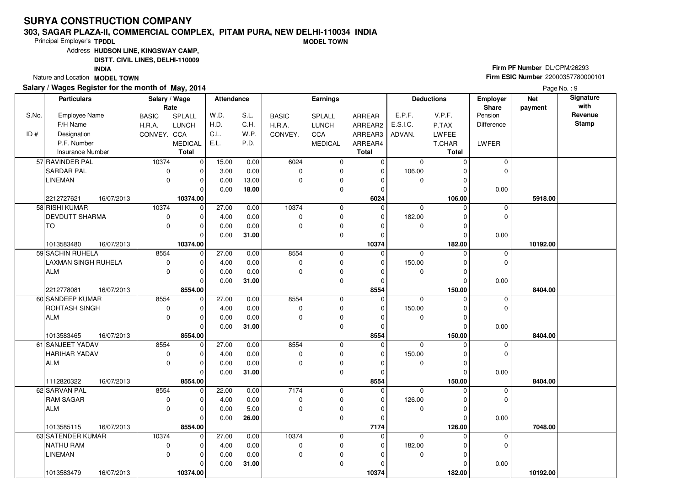#### **303, SAGAR PLAZA-II, COMMERCIAL COMPLEX, PITAM PURA, NEW DELHI-110034 INDIAMODEL TOWN**

Principal Employer's**TPDDL**

Address**HUDSON LINE, KINGSWAY CAMP,**

**DISTT. CIVIL LINES, DELHI-110009**

**INDIA**

Nature and Location **MODEL TOWN** 

### **Salary / Wages Register for the month of May, 2014**

**Firm PF Number** DL/CPM/26293 **Firm ESIC Number** <sup>22000357780000101</sup>

|       | <b>Particulars</b>      |            | Salary / Wage | Rate           | <b>Attendance</b> |       |              | <b>Earnings</b> |              |             | <b>Deductions</b> | Employer<br>Share | <b>Net</b><br>payment | Signature<br>with |
|-------|-------------------------|------------|---------------|----------------|-------------------|-------|--------------|-----------------|--------------|-------------|-------------------|-------------------|-----------------------|-------------------|
| S.No. | <b>Employee Name</b>    |            | <b>BASIC</b>  | SPLALL         | W.D.              | S.L.  | <b>BASIC</b> | SPLALL          | ARREAR       | E.P.F.      | V.P.F.            | Pension           |                       | Revenue           |
|       | F/H Name                |            | H.R.A.        | <b>LUNCH</b>   | H.D.              | C.H.  | H.R.A.       | <b>LUNCH</b>    | ARREAR2      | E.S.I.C.    | P.TAX             | <b>Difference</b> |                       | <b>Stamp</b>      |
| ID#   | Designation             |            | CONVEY. CCA   |                | C.L.              | W.P.  | CONVEY.      | CCA             | ARREAR3      | ADVAN.      | LWFEE             |                   |                       |                   |
|       | P.F. Number             |            |               | <b>MEDICAL</b> | E.L.              | P.D.  |              | <b>MEDICAL</b>  | ARREAR4      |             | T.CHAR            | <b>LWFER</b>      |                       |                   |
|       | <b>Insurance Number</b> |            |               | <b>Total</b>   |                   |       |              |                 | <b>Total</b> |             | <b>Total</b>      |                   |                       |                   |
|       | 57 RAVINDER PAL         |            | 10374         | 0              | 15.00             | 0.00  | 6024         | 0               | $\mathbf 0$  | $\mathbf 0$ | $\Omega$          | $\mathbf 0$       |                       |                   |
|       | lsardar pal             |            | $\mathbf 0$   | O              | 3.00              | 0.00  | $\Omega$     | $\mathbf 0$     | $\mathbf 0$  | 106.00      |                   | $\mathbf 0$       |                       |                   |
|       | <b>LINEMAN</b>          |            | $\mathbf 0$   | $\Omega$       | 0.00              | 13.00 | $\Omega$     | 0               | $\Omega$     | $\mathbf 0$ |                   |                   |                       |                   |
|       |                         |            |               | $\Omega$       | 0.00              | 18.00 |              | $\mathbf 0$     | $\Omega$     |             | O                 | 0.00              |                       |                   |
|       | 2212727621              | 16/07/2013 |               | 10374.00       |                   |       |              |                 | 6024         |             | 106.00            |                   | 5918.00               |                   |
|       | 58 RISHI KUMAR          |            | 10374         | $\mathbf 0$    | 27.00             | 0.00  | 10374        | 0               | $\mathbf 0$  | $\mathbf 0$ | $\Omega$          | $\mathbf 0$       |                       |                   |
|       | <b>DEVDUTT SHARMA</b>   |            | 0             | $\Omega$       | 4.00              | 0.00  | $\mathbf 0$  | $\mathbf 0$     | $\Omega$     | 182.00      | O                 | $\mathbf 0$       |                       |                   |
|       | TO                      |            | $\mathbf 0$   | $\Omega$       | 0.00              | 0.00  | $\mathbf 0$  | $\pmb{0}$       | $\Omega$     | 0           | O                 |                   |                       |                   |
|       |                         |            |               | $\Omega$       | 0.00              | 31.00 |              | $\mathbf 0$     | $\Omega$     |             | $\Omega$          | 0.00              |                       |                   |
|       | 1013583480              | 16/07/2013 |               | 10374.00       |                   |       |              |                 | 10374        |             | 182.00            |                   | 10192.00              |                   |
|       | 59 SACHIN RUHELA        |            | 8554          | $\mathbf 0$    | 27.00             | 0.00  | 8554         | 0               | 0            | $\Omega$    | $\Omega$          | 0                 |                       |                   |
|       | LAXMAN SINGH RUHELA     |            | $\pmb{0}$     | O              | 4.00              | 0.00  | $\mathbf 0$  | 0               | $\Omega$     | 150.00      |                   | $\mathbf 0$       |                       |                   |
|       | ALM                     |            | $\mathbf 0$   | $\Omega$       | 0.00              | 0.00  | $\mathbf 0$  | 0               | 0            | 0           | $\Omega$          |                   |                       |                   |
|       |                         |            |               | $\Omega$       | 0.00              | 31.00 |              | $\mathbf 0$     | $\Omega$     |             | $\Omega$          | 0.00              |                       |                   |
|       | 2212778081              | 16/07/2013 |               | 8554.00        |                   |       |              |                 | 8554         |             | 150.00            |                   | 8404.00               |                   |
|       | 60 SANDEEP KUMAR        |            | 8554          | $\mathbf 0$    | 27.00             | 0.00  | 8554         | $\mathbf 0$     | 0            | $\mathbf 0$ | $\Omega$          | 0                 |                       |                   |
|       | <b>ROHTASH SINGH</b>    |            | $\pmb{0}$     | $\Omega$       | 4.00              | 0.00  | $\Omega$     | 0               | $\Omega$     | 150.00      |                   | $\mathbf 0$       |                       |                   |
|       | ALM                     |            | $\mathbf 0$   | $\Omega$       | 0.00              | 0.00  | $\mathbf 0$  | $\pmb{0}$       | $\Omega$     | 0           |                   |                   |                       |                   |
|       |                         |            |               | $\Omega$       | 0.00              | 31.00 |              | $\mathbf 0$     | $\Omega$     |             | $\Omega$          | 0.00              |                       |                   |
|       | 1013583465              | 16/07/2013 |               | 8554.00        |                   |       |              |                 | 8554         |             | 150.00            |                   | 8404.00               |                   |
|       | 61 SANJEET YADAV        |            | 8554          | $\Omega$       | 27.00             | 0.00  | 8554         | 0               | $\mathbf 0$  | $\Omega$    |                   | 0                 |                       |                   |
|       | <b>HARIHAR YADAV</b>    |            | $\pmb{0}$     | $\Omega$       | 4.00              | 0.00  | $\mathbf 0$  | 0               | $\Omega$     | 150.00      |                   | $\mathbf 0$       |                       |                   |
|       | <b>ALM</b>              |            | $\Omega$      | $\Omega$       | 0.00              | 0.00  | $\Omega$     | $\mathbf 0$     | $\Omega$     | $\mathbf 0$ | $\Omega$          |                   |                       |                   |
|       |                         |            |               | $\Omega$       | 0.00              | 31.00 |              | 0               | $\Omega$     |             | $\Omega$          | 0.00              |                       |                   |
|       | 1112820322              | 16/07/2013 |               | 8554.00        |                   |       |              |                 | 8554         |             | 150.00            |                   | 8404.00               |                   |
|       | 62 SARVAN PAL           |            | 8554          | $\mathbf 0$    | 22.00             | 0.00  | 7174         | 0               | $\Omega$     | 0           |                   | 0                 |                       |                   |
|       | <b>RAM SAGAR</b>        |            | $\pmb{0}$     | $\Omega$       | 4.00              | 0.00  | $\mathbf 0$  | 0               | $\Omega$     | 126.00      | O                 | $\mathbf 0$       |                       |                   |
|       | ALM                     |            | $\Omega$      | $\Omega$       | 0.00              | 5.00  | $\Omega$     | 0               | $\Omega$     | $\mathbf 0$ | ∩                 |                   |                       |                   |
|       |                         |            |               | $\Omega$       | 0.00              | 26.00 |              | 0               | $\Omega$     |             | $\Omega$          | 0.00              |                       |                   |
|       | 1013585115              | 16/07/2013 |               | 8554.00        |                   |       |              |                 | 7174         |             | 126.00            |                   | 7048.00               |                   |
|       | 63 SATENDER KUMAR       |            | 10374         | $\Omega$       | 27.00             | 0.00  | 10374        | 0               | 0            | $\Omega$    | $\Omega$          | $\mathbf 0$       |                       |                   |
|       | NATHU RAM               |            | $\pmb{0}$     | $\Omega$       | 4.00              | 0.00  | $\mathbf 0$  | 0               | $\Omega$     | 182.00      |                   | 0                 |                       |                   |
|       | <b>LINEMAN</b>          |            | $\Omega$      | $\Omega$       | 0.00              | 0.00  | $\mathbf 0$  | $\pmb{0}$       | $\Omega$     | $\mathbf 0$ | O                 |                   |                       |                   |
|       |                         |            |               | $\Omega$       | 0.00              | 31.00 |              | 0               | $\Omega$     |             |                   | 0.00              |                       |                   |
|       | 1013583479              | 16/07/2013 |               | 10374.00       |                   |       |              |                 | 10374        |             | 182.00            |                   | 10192.00              |                   |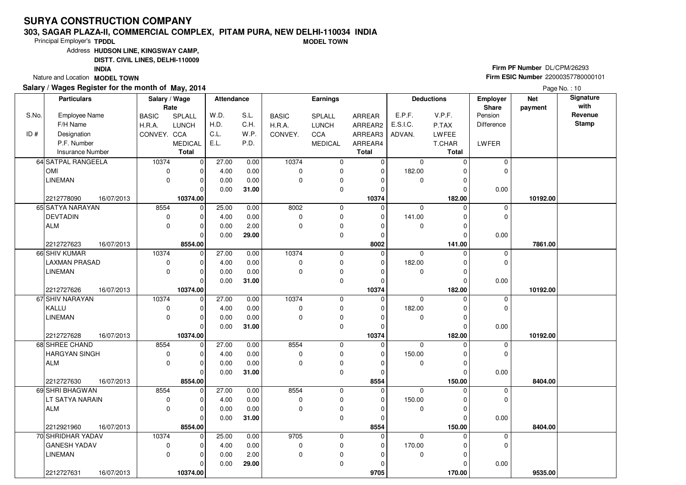#### **303, SAGAR PLAZA-II, COMMERCIAL COMPLEX, PITAM PURA, NEW DELHI-110034 INDIAMODEL TOWN**

Principal Employer's**TPDDL**

Address**HUDSON LINE, KINGSWAY CAMP,**

**DISTT. CIVIL LINES, DELHI-110009**

**INDIA**

Nature and Location **MODEL TOWN** 

### **Salary / Wages Register for the month of May, 2014**

**Firm PF Number** DL/CPM/26293 **Firm ESIC Number** <sup>22000357780000101</sup>

| Rate<br>Share<br>payment<br>Revenue<br>S.No.<br>W.D.<br>S.L.<br>E.P.F.<br>V.P.F.<br>Pension<br><b>Employee Name</b><br><b>BASIC</b><br><b>BASIC</b><br><b>SPLALL</b><br><b>SPLALL</b><br>ARREAR<br><b>Stamp</b><br>C.H.<br>F/H Name<br>H.D.<br>E.S.I.C.<br><b>H.R.A.</b><br><b>LUNCH</b><br>H.R.A.<br><b>LUNCH</b><br>ARREAR2<br>P.TAX<br><b>Difference</b><br>C.L.<br>W.P.<br>ID#<br>Designation<br>CONVEY. CCA<br>CONVEY.<br><b>CCA</b><br>ARREAR3<br>LWFEE<br>ADVAN.<br>P.F. Number<br>E.L.<br>P.D.<br><b>MEDICAL</b><br>LWFER<br><b>MEDICAL</b><br>ARREAR4<br>T.CHAR<br><b>Total</b><br><b>Insurance Number</b><br><b>Total</b><br><b>Total</b><br>10374<br>64 SATPAL RANGEELA<br>10374<br> 0 <br>27.00<br>0.00<br>$\overline{0}$<br>0<br>0<br>$\mathbf 0$<br>$\Omega$<br>0.00<br><b>OMI</b><br>4.00<br>$\mathbf 0$<br>$\mathbf 0$<br>182.00<br>$\Omega$<br>$\mathbf 0$<br>$\overline{0}$<br>$\Omega$<br>U<br><b>LINEMAN</b><br>$\mathbf 0$<br>0.00<br>0.00<br>$\mathbf 0$<br>$\mathbf 0$<br>0<br>$\mathbf 0$<br>$\Omega$<br>O<br>$\Omega$<br>31.00<br>$\mathbf 0$<br>0.00<br>0.00<br>$\Omega$<br>$\Omega$<br>10374.00<br>10374<br>2212778090<br>16/07/2013<br>182.00<br>10192.00<br>65 SATYA NARAYAN<br>8554<br> 0 <br>25.00<br>8002<br>0.00<br>0<br>$\mathbf 0$<br>$\mathbf 0$<br>$\Omega$<br>0<br><b>DEVTADIN</b><br>0.00<br>$\mathbf 0$<br>$\mathbf 0$<br>141.00<br>$\mathbf 0$<br>$\mathbf 0$<br>$\overline{0}$<br>4.00<br>$\Omega$<br>$\Omega$<br><b>ALM</b><br>$\mathbf 0$<br>$\Omega$<br>0.00<br>2.00<br>$\Omega$<br>0<br>$\mathbf 0$<br>O<br>$\Omega$ | Signature |
|--------------------------------------------------------------------------------------------------------------------------------------------------------------------------------------------------------------------------------------------------------------------------------------------------------------------------------------------------------------------------------------------------------------------------------------------------------------------------------------------------------------------------------------------------------------------------------------------------------------------------------------------------------------------------------------------------------------------------------------------------------------------------------------------------------------------------------------------------------------------------------------------------------------------------------------------------------------------------------------------------------------------------------------------------------------------------------------------------------------------------------------------------------------------------------------------------------------------------------------------------------------------------------------------------------------------------------------------------------------------------------------------------------------------------------------------------------------------------------------------------------------------------------------------------------------------|-----------|
|                                                                                                                                                                                                                                                                                                                                                                                                                                                                                                                                                                                                                                                                                                                                                                                                                                                                                                                                                                                                                                                                                                                                                                                                                                                                                                                                                                                                                                                                                                                                                                    |           |
|                                                                                                                                                                                                                                                                                                                                                                                                                                                                                                                                                                                                                                                                                                                                                                                                                                                                                                                                                                                                                                                                                                                                                                                                                                                                                                                                                                                                                                                                                                                                                                    |           |
|                                                                                                                                                                                                                                                                                                                                                                                                                                                                                                                                                                                                                                                                                                                                                                                                                                                                                                                                                                                                                                                                                                                                                                                                                                                                                                                                                                                                                                                                                                                                                                    |           |
|                                                                                                                                                                                                                                                                                                                                                                                                                                                                                                                                                                                                                                                                                                                                                                                                                                                                                                                                                                                                                                                                                                                                                                                                                                                                                                                                                                                                                                                                                                                                                                    |           |
|                                                                                                                                                                                                                                                                                                                                                                                                                                                                                                                                                                                                                                                                                                                                                                                                                                                                                                                                                                                                                                                                                                                                                                                                                                                                                                                                                                                                                                                                                                                                                                    |           |
|                                                                                                                                                                                                                                                                                                                                                                                                                                                                                                                                                                                                                                                                                                                                                                                                                                                                                                                                                                                                                                                                                                                                                                                                                                                                                                                                                                                                                                                                                                                                                                    |           |
|                                                                                                                                                                                                                                                                                                                                                                                                                                                                                                                                                                                                                                                                                                                                                                                                                                                                                                                                                                                                                                                                                                                                                                                                                                                                                                                                                                                                                                                                                                                                                                    |           |
|                                                                                                                                                                                                                                                                                                                                                                                                                                                                                                                                                                                                                                                                                                                                                                                                                                                                                                                                                                                                                                                                                                                                                                                                                                                                                                                                                                                                                                                                                                                                                                    |           |
|                                                                                                                                                                                                                                                                                                                                                                                                                                                                                                                                                                                                                                                                                                                                                                                                                                                                                                                                                                                                                                                                                                                                                                                                                                                                                                                                                                                                                                                                                                                                                                    |           |
|                                                                                                                                                                                                                                                                                                                                                                                                                                                                                                                                                                                                                                                                                                                                                                                                                                                                                                                                                                                                                                                                                                                                                                                                                                                                                                                                                                                                                                                                                                                                                                    |           |
|                                                                                                                                                                                                                                                                                                                                                                                                                                                                                                                                                                                                                                                                                                                                                                                                                                                                                                                                                                                                                                                                                                                                                                                                                                                                                                                                                                                                                                                                                                                                                                    |           |
|                                                                                                                                                                                                                                                                                                                                                                                                                                                                                                                                                                                                                                                                                                                                                                                                                                                                                                                                                                                                                                                                                                                                                                                                                                                                                                                                                                                                                                                                                                                                                                    |           |
|                                                                                                                                                                                                                                                                                                                                                                                                                                                                                                                                                                                                                                                                                                                                                                                                                                                                                                                                                                                                                                                                                                                                                                                                                                                                                                                                                                                                                                                                                                                                                                    |           |
| 0.00<br>$\mathbf 0$<br>$\Omega$<br>29.00<br>0.00<br>$\Omega$<br>$\Omega$                                                                                                                                                                                                                                                                                                                                                                                                                                                                                                                                                                                                                                                                                                                                                                                                                                                                                                                                                                                                                                                                                                                                                                                                                                                                                                                                                                                                                                                                                           |           |
| 8002<br>2212727623<br>16/07/2013<br>8554.00<br>141.00<br>7861.00                                                                                                                                                                                                                                                                                                                                                                                                                                                                                                                                                                                                                                                                                                                                                                                                                                                                                                                                                                                                                                                                                                                                                                                                                                                                                                                                                                                                                                                                                                   |           |
| 66 SHIV KUMAR<br>10374<br>27.00<br>10374<br>$\mathbf 0$<br>$\overline{0}$<br>0.00<br>0<br>$\Omega$<br>$\mathbf 0$<br>$\Omega$                                                                                                                                                                                                                                                                                                                                                                                                                                                                                                                                                                                                                                                                                                                                                                                                                                                                                                                                                                                                                                                                                                                                                                                                                                                                                                                                                                                                                                      |           |
| <b>LAXMAN PRASAD</b><br>0.00<br>0<br>$\pmb{0}$<br>182.00<br>$\mathbf 0$<br>$\overline{0}$<br>4.00<br>$\mathbf 0$<br>$\Omega$<br>U                                                                                                                                                                                                                                                                                                                                                                                                                                                                                                                                                                                                                                                                                                                                                                                                                                                                                                                                                                                                                                                                                                                                                                                                                                                                                                                                                                                                                                  |           |
| $\mathbf 0$<br><b>LINEMAN</b><br>$\mathbf 0$<br>0.00<br>0.00<br>$\mathbf 0$<br>$\Omega$<br>$\mathbf 0$<br>$\Omega$<br>$\Omega$                                                                                                                                                                                                                                                                                                                                                                                                                                                                                                                                                                                                                                                                                                                                                                                                                                                                                                                                                                                                                                                                                                                                                                                                                                                                                                                                                                                                                                     |           |
| $\mathbf 0$<br>$\Omega$<br>0.00<br>31.00<br>0.00<br>$\Omega$<br>$\Omega$                                                                                                                                                                                                                                                                                                                                                                                                                                                                                                                                                                                                                                                                                                                                                                                                                                                                                                                                                                                                                                                                                                                                                                                                                                                                                                                                                                                                                                                                                           |           |
| 2212727626<br>16/07/2013<br>10374.00<br>10374<br>182.00<br>10192.00                                                                                                                                                                                                                                                                                                                                                                                                                                                                                                                                                                                                                                                                                                                                                                                                                                                                                                                                                                                                                                                                                                                                                                                                                                                                                                                                                                                                                                                                                                |           |
| 67 SHIV NARAYAN<br>10374<br>$\overline{0}$<br>27.00<br>10374<br>0.00<br>$\mathbf 0$<br>$\Omega$<br>$\Omega$<br>$\mathbf 0$<br>$\Omega$                                                                                                                                                                                                                                                                                                                                                                                                                                                                                                                                                                                                                                                                                                                                                                                                                                                                                                                                                                                                                                                                                                                                                                                                                                                                                                                                                                                                                             |           |
| KALLU<br>0.00<br>182.00<br>$\mathbf 0$<br>$\mathbf 0$<br>$\overline{0}$<br>4.00<br>$\mathbf 0$<br>0<br>$\Omega$<br>$\Omega$                                                                                                                                                                                                                                                                                                                                                                                                                                                                                                                                                                                                                                                                                                                                                                                                                                                                                                                                                                                                                                                                                                                                                                                                                                                                                                                                                                                                                                        |           |
| $\mathbf 0$<br><b>LINEMAN</b><br>$\mathbf 0$<br>0.00<br>$\mathbf 0$<br>$\pmb{0}$<br>0.00<br>0<br>$\Omega$<br>O                                                                                                                                                                                                                                                                                                                                                                                                                                                                                                                                                                                                                                                                                                                                                                                                                                                                                                                                                                                                                                                                                                                                                                                                                                                                                                                                                                                                                                                     |           |
| $\mathbf 0$<br>$\Omega$<br>0.00<br>31.00<br>0.00<br>O<br>$\Omega$                                                                                                                                                                                                                                                                                                                                                                                                                                                                                                                                                                                                                                                                                                                                                                                                                                                                                                                                                                                                                                                                                                                                                                                                                                                                                                                                                                                                                                                                                                  |           |
| 10374.00<br>10374<br>182.00<br>2212727628<br>16/07/2013<br>10192.00<br>8554                                                                                                                                                                                                                                                                                                                                                                                                                                                                                                                                                                                                                                                                                                                                                                                                                                                                                                                                                                                                                                                                                                                                                                                                                                                                                                                                                                                                                                                                                        |           |
| 68 SHREE CHAND<br>27.00<br>0.00<br>8554<br>$\overline{0}$<br>$\mathbf 0$<br>$\Omega$<br>$\Omega$<br>0<br>$\Omega$<br>$\Omega$<br>$\Omega$                                                                                                                                                                                                                                                                                                                                                                                                                                                                                                                                                                                                                                                                                                                                                                                                                                                                                                                                                                                                                                                                                                                                                                                                                                                                                                                                                                                                                          |           |
| 150.00<br><b>HARGYAN SINGH</b><br>$\mathbf 0$<br>4.00<br>0.00<br>$\mathbf 0$<br>0<br>$\Omega$<br>$\mathbf 0$<br>0.00<br>$\mathbf 0$<br><b>ALM</b><br>$\mathbf 0$<br>$\Omega$<br>0<br>$\Omega$<br>$\Omega$                                                                                                                                                                                                                                                                                                                                                                                                                                                                                                                                                                                                                                                                                                                                                                                                                                                                                                                                                                                                                                                                                                                                                                                                                                                                                                                                                          |           |
| 0.00<br>$\Omega$<br>0.00<br>31.00<br>$\mathbf 0$<br>0.00<br>$\Omega$<br>$\Omega$                                                                                                                                                                                                                                                                                                                                                                                                                                                                                                                                                                                                                                                                                                                                                                                                                                                                                                                                                                                                                                                                                                                                                                                                                                                                                                                                                                                                                                                                                   |           |
| 8554.00<br>8554<br>150.00<br>8404.00                                                                                                                                                                                                                                                                                                                                                                                                                                                                                                                                                                                                                                                                                                                                                                                                                                                                                                                                                                                                                                                                                                                                                                                                                                                                                                                                                                                                                                                                                                                               |           |
| 2212727630<br>16/07/2013<br>8554<br>69 SHRI BHAGWAN<br>8554<br>$\overline{0}$<br>27.00<br>0.00<br>$\mathbf 0$<br>0<br>$\mathbf 0$<br>$\mathbf 0$<br>O                                                                                                                                                                                                                                                                                                                                                                                                                                                                                                                                                                                                                                                                                                                                                                                                                                                                                                                                                                                                                                                                                                                                                                                                                                                                                                                                                                                                              |           |
| $\mathbf 0$<br>$\Omega$<br>4.00<br>0.00<br>$\mathbf 0$<br>$\mathbf 0$<br>150.00<br>$\Omega$<br>LT SATYA NARAIN<br>$\Omega$<br>$\Omega$                                                                                                                                                                                                                                                                                                                                                                                                                                                                                                                                                                                                                                                                                                                                                                                                                                                                                                                                                                                                                                                                                                                                                                                                                                                                                                                                                                                                                             |           |
| $\mathbf 0$<br>$\pmb{0}$<br><b>ALM</b><br>$\mathbf 0$<br>0.00<br>0.00<br>$\mathbf 0$<br>$\Omega$<br>0<br>$\Omega$                                                                                                                                                                                                                                                                                                                                                                                                                                                                                                                                                                                                                                                                                                                                                                                                                                                                                                                                                                                                                                                                                                                                                                                                                                                                                                                                                                                                                                                  |           |
| 0.00<br>31.00<br>$\mathbf 0$<br>$\Omega$<br>0.00<br>$\Omega$<br>$\Omega$                                                                                                                                                                                                                                                                                                                                                                                                                                                                                                                                                                                                                                                                                                                                                                                                                                                                                                                                                                                                                                                                                                                                                                                                                                                                                                                                                                                                                                                                                           |           |
| 16/07/2013<br>8554.00<br>8554<br>2212921960<br>150.00<br>8404.00                                                                                                                                                                                                                                                                                                                                                                                                                                                                                                                                                                                                                                                                                                                                                                                                                                                                                                                                                                                                                                                                                                                                                                                                                                                                                                                                                                                                                                                                                                   |           |
| 9705<br>70 SHRIDHAR YADAV<br>10374<br>$\overline{0}$<br>25.00<br>0.00<br>$\mathbf 0$<br>0<br>$\mathbf 0$<br>$\Omega$<br>0                                                                                                                                                                                                                                                                                                                                                                                                                                                                                                                                                                                                                                                                                                                                                                                                                                                                                                                                                                                                                                                                                                                                                                                                                                                                                                                                                                                                                                          |           |
| 170.00<br><b>GANESH YADAV</b><br>0<br>$\mathbf 0$<br>4.00<br>0.00<br>$\mathbf 0$<br>$\pmb{0}$<br>$\Omega$<br>$\Omega$                                                                                                                                                                                                                                                                                                                                                                                                                                                                                                                                                                                                                                                                                                                                                                                                                                                                                                                                                                                                                                                                                                                                                                                                                                                                                                                                                                                                                                              |           |
| $\Omega$<br>$\mathbf 0$<br><b>LINEMAN</b><br>0.00<br>2.00<br>$\mathbf 0$<br>0<br>0<br>0<br>$\Omega$                                                                                                                                                                                                                                                                                                                                                                                                                                                                                                                                                                                                                                                                                                                                                                                                                                                                                                                                                                                                                                                                                                                                                                                                                                                                                                                                                                                                                                                                |           |
| 29.00<br>0.00<br>0<br>0.00<br>0<br>0<br>$\Omega$                                                                                                                                                                                                                                                                                                                                                                                                                                                                                                                                                                                                                                                                                                                                                                                                                                                                                                                                                                                                                                                                                                                                                                                                                                                                                                                                                                                                                                                                                                                   |           |
| 2212727631<br>16/07/2013<br>10374.00<br>9705<br>170.00<br>9535.00                                                                                                                                                                                                                                                                                                                                                                                                                                                                                                                                                                                                                                                                                                                                                                                                                                                                                                                                                                                                                                                                                                                                                                                                                                                                                                                                                                                                                                                                                                  |           |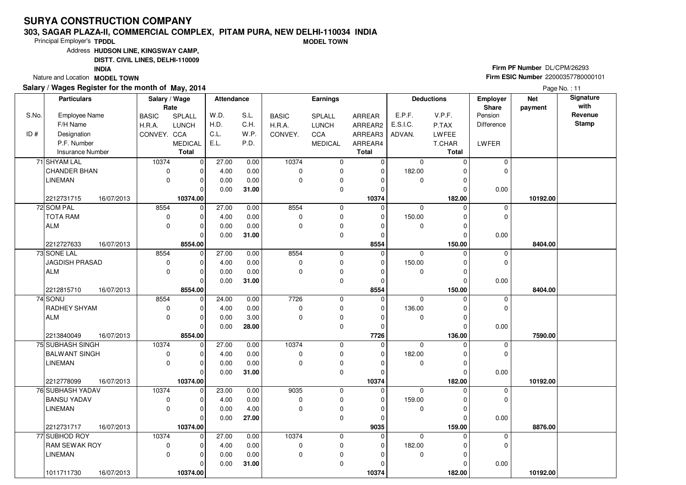#### **303, SAGAR PLAZA-II, COMMERCIAL COMPLEX, PITAM PURA, NEW DELHI-110034 INDIAMODEL TOWN**

Principal Employer's**TPDDL**

Address**HUDSON LINE, KINGSWAY CAMP,**

**DISTT. CIVIL LINES, DELHI-110009**

**INDIA**

Nature and Location **MODEL TOWN** 

### **Salary / Wages Register for the month of May, 2014**

**Firm PF Number** DL/CPM/26293 **Firm ESIC Number** <sup>22000357780000101</sup>

|       | <b>Particulars</b>                           | Salary / Wage<br>Rate |                     | <b>Attendance</b> |       |               | <b>Earnings</b> |                         |             | <b>Deductions</b> | Employer<br>Share | <b>Net</b><br>payment | Signature<br>with |
|-------|----------------------------------------------|-----------------------|---------------------|-------------------|-------|---------------|-----------------|-------------------------|-------------|-------------------|-------------------|-----------------------|-------------------|
| S.No. | <b>Employee Name</b>                         | <b>BASIC</b>          | SPLALL              | W.D.              | S.L.  | <b>BASIC</b>  | SPLALL          | ARREAR                  | E.P.F.      | V.P.F.            | Pension           |                       | Revenue           |
|       | F/H Name                                     | H.R.A.                | <b>LUNCH</b>        | H.D.              | C.H.  | H.R.A.        | <b>LUNCH</b>    | ARREAR2                 | E.S.I.C.    | P.TAX             | <b>Difference</b> |                       | <b>Stamp</b>      |
| ID#   | Designation                                  | CONVEY. CCA           |                     | C.L.              | W.P.  | CONVEY.       | CCA             | ARREAR3                 | ADVAN.      | LWFEE             |                   |                       |                   |
|       | P.F. Number                                  |                       | <b>MEDICAL</b>      | E.L.              | P.D.  |               | <b>MEDICAL</b>  | ARREAR4                 |             | T.CHAR            | <b>LWFER</b>      |                       |                   |
|       | <b>Insurance Number</b>                      |                       | <b>Total</b>        |                   |       |               |                 | <b>Total</b>            |             | <b>Total</b>      |                   |                       |                   |
|       | 71 SHYAM LAL                                 | 10374                 | 0                   | 27.00             | 0.00  | 10374         | 0               | $\mathbf 0$             | $\mathbf 0$ | $\Omega$          | 0                 |                       |                   |
|       | <b>CHANDER BHAN</b>                          | $\mathbf 0$           | $\Omega$            | 4.00              | 0.00  | $\Omega$      | $\mathbf 0$     | $\mathbf 0$             | 182.00      |                   | $\Omega$          |                       |                   |
|       | <b>LINEMAN</b>                               | 0                     | 0                   | 0.00              | 0.00  | $\Omega$      | 0               | $\Omega$                | $\mathbf 0$ | O                 |                   |                       |                   |
|       |                                              |                       | $\Omega$            | 0.00              | 31.00 |               | $\mathbf 0$     | $\Omega$                |             | ŋ                 | 0.00              |                       |                   |
|       | 2212731715<br>16/07/2013                     |                       | 10374.00            |                   |       |               |                 | 10374                   |             | 182.00            |                   | 10192.00              |                   |
|       | 72 SOM PAL                                   | 8554                  | 0                   | 27.00             | 0.00  | 8554          | 0               | $\mathbf 0$             | $\mathbf 0$ | $\Omega$          | $\mathbf 0$       |                       |                   |
|       | <b>TOTA RAM</b>                              | 0                     | $\Omega$            | 4.00              | 0.00  | 0             | 0               | $\Omega$                | 150.00      | O                 | $\Omega$          |                       |                   |
|       | <b>ALM</b>                                   | 0                     | $\Omega$            | 0.00              | 0.00  | 0             | $\pmb{0}$       | $\Omega$                | 0           | O                 |                   |                       |                   |
|       |                                              |                       | $\Omega$            | 0.00              | 31.00 |               | $\mathbf 0$     | $\Omega$                |             | $\Omega$          | 0.00              |                       |                   |
|       | 2212727633<br>16/07/2013                     |                       | 8554.00             |                   |       |               |                 | 8554                    |             | 150.00            |                   | 8404.00               |                   |
|       | 73 SONE LAL                                  | 8554                  | $\mathbf 0$         | 27.00             | 0.00  | 8554          | 0               | $\mathbf 0$             | $\Omega$    | $\Omega$          | 0                 |                       |                   |
|       | <b>JAGDISH PRASAD</b>                        | $\pmb{0}$             | 0                   | 4.00              | 0.00  | $\mathbf 0$   | 0               | $\Omega$                | 150.00      |                   | $\mathbf 0$       |                       |                   |
|       | <b>ALM</b>                                   | 0                     | $\mathbf 0$         | 0.00              | 0.00  | $\Omega$      | 0               | 0                       | 0           | 0                 |                   |                       |                   |
|       |                                              |                       | $\Omega$            | 0.00              | 31.00 |               | $\mathbf 0$     | $\Omega$                |             | $\Omega$          | 0.00              |                       |                   |
|       | 2212815710<br>16/07/2013                     |                       | 8554.00             |                   |       |               |                 | 8554                    |             | 150.00            |                   | 8404.00               |                   |
|       | 74 SONU                                      | 8554                  | $\mathbf 0$         | 24.00             | 0.00  | 7726          | $\mathbf 0$     | $\mathbf 0$             | $\mathbf 0$ | $\Omega$          | $\mathbf 0$       |                       |                   |
|       | RADHEY SHYAM                                 | 0                     | $\Omega$            | 4.00              | 0.00  | $\mathbf 0$   | 0               | $\Omega$                | 136.00      | $\Omega$          | $\mathbf 0$       |                       |                   |
|       | <b>ALM</b>                                   | 0                     | 0                   | 0.00              | 3.00  | $\Omega$      | $\pmb{0}$       | $\Omega$                | 0           | O                 |                   |                       |                   |
|       |                                              |                       | $\Omega$            | 0.00              | 28.00 |               | $\mathbf 0$     | $\Omega$                |             | ŋ                 | 0.00              |                       |                   |
|       | 2213840049<br>16/07/2013<br>75 SUBHASH SINGH |                       | 8554.00<br>$\Omega$ | 27.00             |       | 10374         |                 | 7726                    |             | 136.00            |                   | 7590.00               |                   |
|       |                                              | 10374                 | $\Omega$            |                   | 0.00  |               | 0               | $\mathbf 0$<br>$\Omega$ | $\Omega$    | O                 | 0<br>$\mathbf 0$  |                       |                   |
|       | <b>BALWANT SINGH</b><br><b>LINEMAN</b>       | 0<br>0                | $\Omega$            | 4.00              | 0.00  | 0<br>$\Omega$ | 0               | $\Omega$                | 182.00      | $\Omega$          |                   |                       |                   |
|       |                                              |                       | $\Omega$            | 0.00              | 0.00  |               | $\pmb{0}$<br>0  | $\Omega$                | $\mathbf 0$ | $\Omega$          |                   |                       |                   |
|       | 2212778099<br>16/07/2013                     |                       | 10374.00            | 0.00              | 31.00 |               |                 | 10374                   |             | 182.00            | 0.00              | 10192.00              |                   |
|       | 76 SUBHASH YADAV                             | 10374                 | $\mathbf 0$         | 23.00             | 0.00  | 9035          | 0               | $\mathbf 0$             | $\mathbf 0$ | $\Omega$          | 0                 |                       |                   |
|       | <b>BANSU YADAV</b>                           | 0                     | $\Omega$            | 4.00              | 0.00  | $\mathbf 0$   | 0               | $\Omega$                | 159.00      | $\Omega$          | $\mathbf 0$       |                       |                   |
|       | <b>LINEMAN</b>                               | 0                     | 0                   | 0.00              | 4.00  | $\Omega$      | 0               | $\Omega$                | 0           | O                 |                   |                       |                   |
|       |                                              |                       | $\Omega$            | 0.00              | 27.00 |               | 0               | $\Omega$                |             | 0                 | 0.00              |                       |                   |
|       | 2212731717<br>16/07/2013                     |                       | 10374.00            |                   |       |               |                 | 9035                    |             | 159.00            |                   | 8876.00               |                   |
|       | 77 SUBHOD ROY                                | 10374                 | $\mathbf 0$         | 27.00             | 0.00  | 10374         | 0               | $\mathbf 0$             | $\Omega$    | U                 | 0                 |                       |                   |
|       | <b>RAM SEWAK ROY</b>                         | 0                     | $\Omega$            | 4.00              | 0.00  | $\mathbf 0$   | $\pmb{0}$       | $\Omega$                | 182.00      |                   | 0                 |                       |                   |
|       | <b>LINEMAN</b>                               | 0                     | 0                   | 0.00              | 0.00  | $\mathbf{0}$  | $\pmb{0}$       | $\Omega$                | $\mathbf 0$ |                   |                   |                       |                   |
|       |                                              |                       | 0                   | 0.00              | 31.00 |               | 0               | U                       |             |                   | 0.00              |                       |                   |
|       | 1011711730<br>16/07/2013                     |                       | 10374.00            |                   |       |               |                 | 10374                   |             | 182.00            |                   | 10192.00              |                   |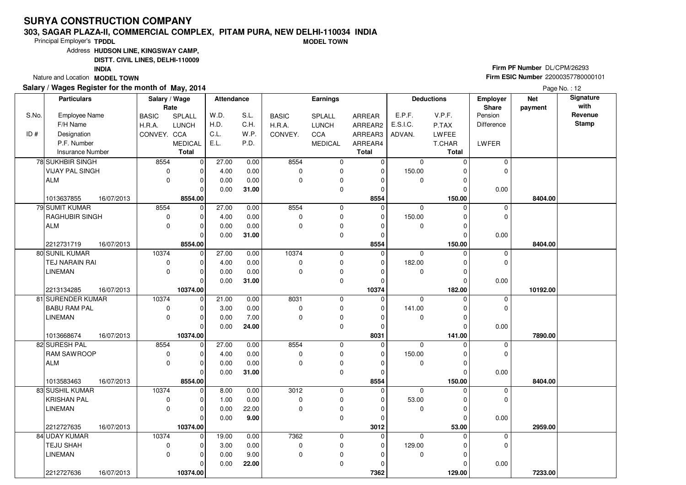#### **303, SAGAR PLAZA-II, COMMERCIAL COMPLEX, PITAM PURA, NEW DELHI-110034 INDIAMODEL TOWN**

Principal Employer's**TPDDL**

Address**HUDSON LINE, KINGSWAY CAMP,**

**DISTT. CIVIL LINES, DELHI-110009**

**INDIA**

Nature and Location **MODEL TOWN** 

### **Salary / Wages Register for the month of May, 2014**

**Firm PF Number** DL/CPM/26293 **Firm ESIC Number** <sup>22000357780000101</sup>

|       | <b>Particulars</b>           | Salary / Wage |                | Attendance |       |              | Earnings       |                |             | <b>Deductions</b> | Employer                | <b>Net</b> | <b>Signature</b><br>with |
|-------|------------------------------|---------------|----------------|------------|-------|--------------|----------------|----------------|-------------|-------------------|-------------------------|------------|--------------------------|
| S.No. | Employee Name                | <b>BASIC</b>  | Rate<br>SPLALL | W.D.       | S.L.  | <b>BASIC</b> | <b>SPLALL</b>  | ARREAR         | E.P.F.      | V.P.F.            | <b>Share</b><br>Pension | payment    | Revenue                  |
|       | F/H Name                     | H.R.A.        | <b>LUNCH</b>   | H.D.       | C.H.  | H.R.A.       | <b>LUNCH</b>   | ARREAR2        | E.S.I.C.    | P.TAX             | Difference              |            | <b>Stamp</b>             |
| ID#   | Designation                  | CONVEY. CCA   |                | C.L.       | W.P.  | CONVEY.      | CCA            | ARREAR3        | ADVAN.      | LWFEE             |                         |            |                          |
|       | P.F. Number                  |               | <b>MEDICAL</b> | E.L.       | P.D.  |              | <b>MEDICAL</b> | ARREAR4        |             | T.CHAR            | LWFER                   |            |                          |
|       | <b>Insurance Number</b>      |               | Total          |            |       |              |                | <b>Total</b>   |             | <b>Total</b>      |                         |            |                          |
|       | 78 SUKHBIR SINGH             | 8554          | $\overline{0}$ | 27.00      | 0.00  | 8554         | 0              | $\overline{0}$ | $\mathbf 0$ | $\Omega$          | 0                       |            |                          |
|       | <b>VIJAY PAL SINGH</b>       | $\pmb{0}$     | $\Omega$       | 4.00       | 0.00  | $\mathbf 0$  | 0              | $\mathbf 0$    | 150.00      |                   | $\mathbf 0$             |            |                          |
|       | ALM                          | $\mathbf 0$   | $\Omega$       | 0.00       | 0.00  | $\Omega$     | 0              | $\Omega$       | 0           | O                 |                         |            |                          |
|       |                              |               | $\Omega$       | 0.00       |       |              | $\mathbf 0$    | $\mathbf 0$    |             | $\Omega$          |                         |            |                          |
|       | 16/07/2013                   |               | 8554.00        |            | 31.00 |              |                | 8554           |             | 150.00            | 0.00                    | 8404.00    |                          |
|       | 1013637855<br>79 SUMIT KUMAR | 8554          | $\mathbf 0$    | 27.00      | 0.00  | 8554         | 0              | $\Omega$       | $\mathbf 0$ | $\Omega$          | $\mathbf 0$             |            |                          |
|       | <b>RAGHUBIR SINGH</b>        | $\pmb{0}$     | $\Omega$       | 4.00       | 0.00  | $\mathbf 0$  | 0              | 0              | 150.00      | O                 | $\mathbf 0$             |            |                          |
|       | <b>ALM</b>                   | $\mathbf 0$   | $\Omega$       | 0.00       | 0.00  | $\Omega$     | 0              | $\Omega$       | 0           | $\Omega$          |                         |            |                          |
|       |                              |               | $\Omega$       | 0.00       | 31.00 |              | $\mathbf 0$    | $\Omega$       |             | O                 | 0.00                    |            |                          |
|       | 2212731719<br>16/07/2013     |               | 8554.00        |            |       |              |                | 8554           |             | 150.00            |                         | 8404.00    |                          |
|       | 80 SUNIL KUMAR               | 10374         | $\mathbf 0$    | 27.00      | 0.00  | 10374        | $\mathbf 0$    | 0              | $\Omega$    | $\Omega$          | $\mathbf 0$             |            |                          |
|       | TEJ NARAIN RAI               | 0             |                | 4.00       | 0.00  | $\mathbf 0$  | 0              | $\Omega$       | 182.00      |                   | $\mathbf 0$             |            |                          |
|       | LINEMAN                      | $\mathbf 0$   | 0              | 0.00       | 0.00  | $\mathbf 0$  | 0              | 0              | 0           | $\Omega$          |                         |            |                          |
|       |                              |               | $\Omega$       | 0.00       | 31.00 |              | $\mathbf 0$    | $\mathbf 0$    |             | $\Omega$          | 0.00                    |            |                          |
|       | 2213134285<br>16/07/2013     |               | 10374.00       |            |       |              |                | 10374          |             | 182.00            |                         | 10192.00   |                          |
|       | 81 SURENDER KUMAR            | 10374         | $\overline{0}$ | 21.00      | 0.00  | 8031         | 0              | $\mathbf 0$    | 0           | $\Omega$          | $\mathbf 0$             |            |                          |
|       | <b>BABU RAM PAL</b>          | $\pmb{0}$     | $\Omega$       | 3.00       | 0.00  | $\mathbf 0$  | $\mathbf 0$    | $\Omega$       | 141.00      | $\Omega$          | $\mathbf 0$             |            |                          |
|       | <b>LINEMAN</b>               | $\Omega$      | $\Omega$       | 0.00       | 7.00  | $\Omega$     | $\mathbf 0$    | $\Omega$       | 0           |                   |                         |            |                          |
|       |                              |               | $\Omega$       | 0.00       | 24.00 |              | 0              | 0              |             | O                 | 0.00                    |            |                          |
|       | 16/07/2013<br>1013668674     |               | 10374.00       |            |       |              |                | 8031           |             | 141.00            |                         | 7890.00    |                          |
|       | 82 SURESH PAL                | 8554          | $\Omega$       | 27.00      | 0.00  | 8554         | 0              | $\Omega$       | $\Omega$    |                   | $\mathbf 0$             |            |                          |
|       | <b>RAM SAWROOP</b>           | $\pmb{0}$     | $\Omega$       | 4.00       | 0.00  | $\mathbf 0$  | 0              | 0              | 150.00      |                   | $\mathbf 0$             |            |                          |
|       | ALM                          | $\mathbf 0$   | $\Omega$       | 0.00       | 0.00  | $\Omega$     | $\mathbf 0$    | $\Omega$       | 0           | $\Omega$          |                         |            |                          |
|       |                              |               | $\Omega$       | 0.00       | 31.00 |              | 0              | $\Omega$       |             | $\Omega$          | 0.00                    |            |                          |
|       | 1013583463<br>16/07/2013     |               | 8554.00        |            |       |              |                | 8554           |             | 150.00            |                         | 8404.00    |                          |
|       | 83 SUSHIL KUMAR              | 10374         | $\overline{0}$ | 8.00       | 0.00  | 3012         | 0              | 0              | 0           |                   | $\mathbf 0$             |            |                          |
|       | <b>KRISHAN PAL</b>           | 0             | $\Omega$       | 1.00       | 0.00  | $\mathbf 0$  | 0              | $\Omega$       | 53.00       | O                 | $\Omega$                |            |                          |
|       | <b>LINEMAN</b>               | $\mathbf 0$   | $\Omega$       | 0.00       | 22.00 | $\mathbf 0$  | $\pmb{0}$      | 0              | 0           | 0                 |                         |            |                          |
|       |                              |               | $\Omega$       | 0.00       | 9.00  |              | $\mathbf 0$    | $\Omega$       |             | $\Omega$          | 0.00                    |            |                          |
|       | 2212727635<br>16/07/2013     |               | 10374.00       |            |       |              |                | 3012           |             | 53.00             |                         | 2959.00    |                          |
|       | 84 UDAY KUMAR                | 10374         | $\Omega$       | 19.00      | 0.00  | 7362         | 0              | 0              | $\Omega$    | U                 | 0                       |            |                          |
|       | <b>TEJU SHAH</b>             | 0             | $\Omega$       | 3.00       | 0.00  | $\mathbf 0$  | 0              | $\mathbf 0$    | 129.00      |                   | $\Omega$                |            |                          |
|       | <b>LINEMAN</b>               | $\Omega$      | $\Omega$       | 0.00       | 9.00  | $\mathbf 0$  | $\mathbf 0$    | $\Omega$       | 0           | ŋ                 |                         |            |                          |
|       |                              |               | $\Omega$       | 0.00       | 22.00 |              | 0              | 0              |             | 0                 | 0.00                    |            |                          |
|       | 2212727636<br>16/07/2013     |               | 10374.00       |            |       |              |                | 7362           |             | 129.00            |                         | 7233.00    |                          |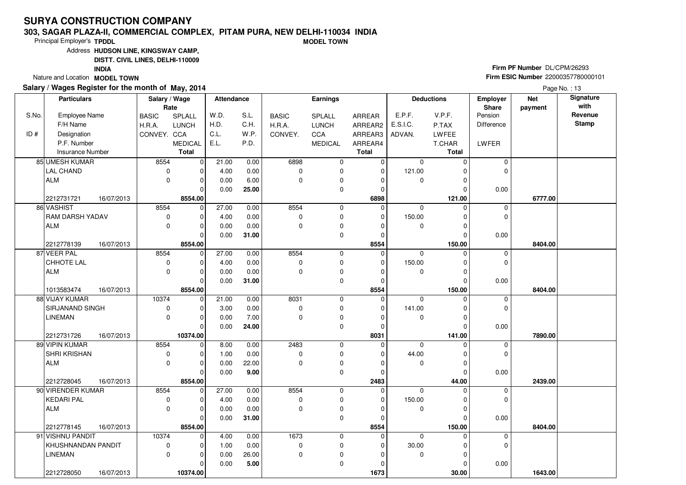#### **303, SAGAR PLAZA-II, COMMERCIAL COMPLEX, PITAM PURA, NEW DELHI-110034 INDIAMODEL TOWN**

Principal Employer's**TPDDL**

Address**HUDSON LINE, KINGSWAY CAMP,**

**DISTT. CIVIL LINES, DELHI-110009**

**INDIA**

Nature and Location **MODEL TOWN** 

### **Salary / Wages Register for the month of May, 2014**

**Firm PF Number** DL/CPM/26293 **Firm ESIC Number** <sup>22000357780000101</sup>

|       | <b>Particulars</b>       | Salary / Wage<br>Rate |                | Attendance |       | Earnings     |                |                | <b>Deductions</b> |              | Employer<br><b>Share</b> | <b>Net</b><br>payment | <b>Signature</b><br>with |
|-------|--------------------------|-----------------------|----------------|------------|-------|--------------|----------------|----------------|-------------------|--------------|--------------------------|-----------------------|--------------------------|
| S.No. | Employee Name            | <b>BASIC</b>          | SPLALL         | W.D.       | S.L.  | <b>BASIC</b> | <b>SPLALL</b>  | ARREAR         | E.P.F.            | V.P.F.       | Pension                  |                       | Revenue                  |
|       | F/H Name                 | H.R.A.                | <b>LUNCH</b>   | H.D.       | C.H.  | H.R.A.       | <b>LUNCH</b>   | ARREAR2        | E.S.I.C.          | P.TAX        | Difference               |                       | <b>Stamp</b>             |
| ID#   | Designation              | CONVEY. CCA           |                | C.L.       | W.P.  | CONVEY.      | CCA            | ARREAR3        | ADVAN.            | <b>LWFEE</b> |                          |                       |                          |
|       | P.F. Number              |                       | <b>MEDICAL</b> | E.L.       | P.D.  |              | <b>MEDICAL</b> | ARREAR4        |                   | T.CHAR       | LWFER                    |                       |                          |
|       | <b>Insurance Number</b>  |                       | Total          |            |       |              |                | <b>Total</b>   |                   | <b>Total</b> |                          |                       |                          |
|       | 85 UMESH KUMAR           | 8554                  | $\overline{0}$ | 21.00      | 0.00  | 6898         | 0              | $\overline{0}$ | $\mathbf 0$       | $\Omega$     | 0                        |                       |                          |
|       | LAL CHAND                | $\pmb{0}$             | $\Omega$       | 4.00       | 0.00  | $\mathbf 0$  | 0              | $\mathbf 0$    | 121.00            |              | $\mathbf 0$              |                       |                          |
|       | ALM                      | $\mathbf 0$           | $\Omega$       | 0.00       | 6.00  | $\Omega$     | 0              | $\Omega$       | 0                 | O            |                          |                       |                          |
|       |                          |                       | $\Omega$       | 0.00       | 25.00 |              | $\mathbf 0$    | $\mathbf 0$    |                   | $\Omega$     | 0.00                     |                       |                          |
|       | 2212731721<br>16/07/2013 |                       | 8554.00        |            |       |              |                | 6898           |                   | 121.00       |                          | 6777.00               |                          |
|       | 86 VASHIST               | 8554                  | $\mathbf 0$    | 27.00      | 0.00  | 8554         | 0              | $\Omega$       | $\mathbf 0$       | $\Omega$     | $\mathbf 0$              |                       |                          |
|       | <b>RAM DARSH YADAV</b>   | $\pmb{0}$             | $\Omega$       | 4.00       | 0.00  | $\mathbf 0$  | 0              | 0              | 150.00            | 0            | $\mathbf 0$              |                       |                          |
|       | <b>ALM</b>               | $\mathbf 0$           | $\Omega$       | 0.00       | 0.00  | $\mathbf 0$  | 0              | $\Omega$       | 0                 | $\Omega$     |                          |                       |                          |
|       |                          |                       | $\Omega$       | 0.00       | 31.00 |              | $\mathbf 0$    | $\Omega$       |                   | $\Omega$     | 0.00                     |                       |                          |
|       | 2212778139<br>16/07/2013 |                       | 8554.00        |            |       |              |                | 8554           |                   | 150.00       |                          | 8404.00               |                          |
|       | 87 VEER PAL              | 8554                  | $\mathbf 0$    | 27.00      | 0.00  | 8554         | $\mathbf 0$    | 0              | $\Omega$          | $\Omega$     | $\mathbf 0$              |                       |                          |
|       | CHHOTE LAL               | 0                     | $\Omega$       | 4.00       | 0.00  | $\mathbf 0$  | 0              | $\Omega$       | 150.00            |              | $\mathbf 0$              |                       |                          |
|       | ALM                      | 0                     | $\Omega$       | 0.00       | 0.00  | $\mathbf 0$  | 0              | 0              | 0                 | $\Omega$     |                          |                       |                          |
|       |                          |                       | $\Omega$       | 0.00       | 31.00 |              | $\mathbf 0$    | $\mathbf 0$    |                   | $\Omega$     | 0.00                     |                       |                          |
|       | 1013583474<br>16/07/2013 |                       | 8554.00        |            |       |              |                | 8554           |                   | 150.00       |                          | 8404.00               |                          |
|       | 88 VIJAY KUMAR           | 10374                 | $\overline{0}$ | 21.00      | 0.00  | 8031         | 0              | 0              | 0                 | $\Omega$     | $\mathbf 0$              |                       |                          |
|       | SIRJANAND SINGH          | $\pmb{0}$             | $\Omega$       | 3.00       | 0.00  | $\mathbf 0$  | $\mathbf 0$    | $\Omega$       | 141.00            | $\Omega$     | $\mathbf 0$              |                       |                          |
|       | <b>LINEMAN</b>           | $\Omega$              | $\Omega$       | 0.00       | 7.00  | $\Omega$     | $\mathbf 0$    | $\Omega$       | 0                 | O            |                          |                       |                          |
|       |                          |                       | $\Omega$       | 0.00       | 24.00 |              | 0              | 0              |                   | O            | 0.00                     |                       |                          |
|       | 16/07/2013<br>2212731726 |                       | 10374.00       |            |       |              |                | 8031           |                   | 141.00       |                          | 7890.00               |                          |
|       | 89 VIPIN KUMAR           | 8554                  | $\Omega$       | 8.00       | 0.00  | 2483         | 0              | $\Omega$       | $\Omega$          |              | $\mathbf 0$              |                       |                          |
|       | SHRI KRISHAN             | $\pmb{0}$             | $\Omega$       | 1.00       | 0.00  | $\mathbf 0$  | 0              | $\Omega$       | 44.00             | O            | $\mathbf 0$              |                       |                          |
|       | ALM                      | $\mathbf 0$           | $\Omega$       | 0.00       | 22.00 | $\Omega$     | $\mathbf 0$    | $\Omega$       | 0                 | $\Omega$     |                          |                       |                          |
|       |                          |                       | $\Omega$       | 0.00       | 9.00  |              | 0              | $\Omega$       |                   | $\Omega$     | 0.00                     |                       |                          |
|       | 2212728045<br>16/07/2013 |                       | 8554.00        |            |       |              |                | 2483           |                   | 44.00        |                          | 2439.00               |                          |
|       | 90 VIRENDER KUMAR        | 8554                  | 0<br>$\Omega$  | 27.00      | 0.00  | 8554         | 0              | $\Omega$       | 0                 |              | $\mathbf 0$              |                       |                          |
|       | <b>KEDARI PAL</b>        | 0<br>$\mathbf 0$      |                | 4.00       | 0.00  | $\mathbf 0$  | 0              | $\Omega$       | 150.00            | O            | $\Omega$                 |                       |                          |
|       | ALM                      |                       | $\Omega$       | 0.00       | 0.00  | $\mathbf 0$  | $\pmb{0}$      | 0              | 0                 | $\Omega$     |                          |                       |                          |
|       |                          |                       | $\Omega$       | 0.00       | 31.00 |              | $\mathbf 0$    | $\Omega$       |                   | $\Omega$     | 0.00                     |                       |                          |
|       | 2212778145<br>16/07/2013 |                       | 8554.00        |            |       |              |                | 8554           |                   | 150.00       |                          | 8404.00               |                          |
|       | 91 VISHNU PANDIT         | 10374                 | $\Omega$       | 4.00       | 0.00  | 1673         | 0              | 0              | 0                 | $\Omega$     | 0<br>$\Omega$            |                       |                          |
|       | KHUSHNANDAN PANDIT       | 0                     | $\Omega$       | 1.00       | 0.00  | $\mathbf 0$  | 0              | 0              | 30.00             |              |                          |                       |                          |
|       | <b>LINEMAN</b>           | $\Omega$              | $\Omega$       | 0.00       | 26.00 | $\mathbf 0$  | $\mathbf 0$    | $\Omega$       | 0                 | ŋ            |                          |                       |                          |
|       |                          |                       | $\Omega$       | 0.00       | 5.00  |              | 0              | 0              |                   | 0            | 0.00                     |                       |                          |
|       | 2212728050<br>16/07/2013 |                       | 10374.00       |            |       |              |                | 1673           |                   | 30.00        |                          | 1643.00               |                          |